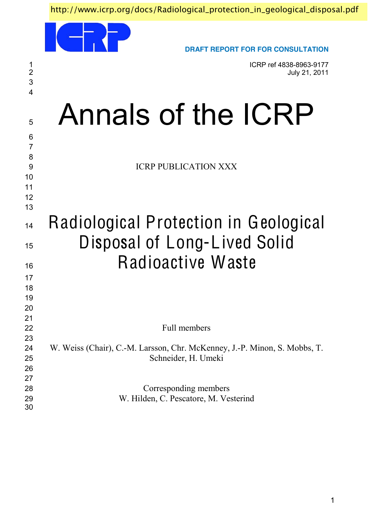http://www.icrp.org/docs/Radiological\_protection\_in\_geological\_disposal.pdf

|                         | <b>DRAFT REPORT FOR FOR CONSULTATION</b>                                                         |
|-------------------------|--------------------------------------------------------------------------------------------------|
| $\frac{1}{2}$<br>3<br>4 | ICRP ref 4838-8963-9177<br>July 21, 2011                                                         |
| 5                       | Annals of the ICRP                                                                               |
| 6<br>$\overline{7}$     |                                                                                                  |
| 8<br>9<br>10            | <b>ICRP PUBLICATION XXX</b>                                                                      |
| 11<br>12                |                                                                                                  |
| 13                      |                                                                                                  |
| 14                      | Radiological Protection in Geological                                                            |
| 15                      | Disposal of Long-Lived Solid                                                                     |
| 16                      | Radioactive Waste                                                                                |
| 17<br>18                |                                                                                                  |
| 19<br>20                |                                                                                                  |
| 21<br>22                | Full members                                                                                     |
| 23<br>24<br>25          | W. Weiss (Chair), C.-M. Larsson, Chr. McKenney, J.-P. Minon, S. Mobbs, T.<br>Schneider, H. Umeki |
| 26<br>27                |                                                                                                  |
| 28<br>29<br>30          | Corresponding members<br>W. Hilden, C. Pescatore, M. Vesterind                                   |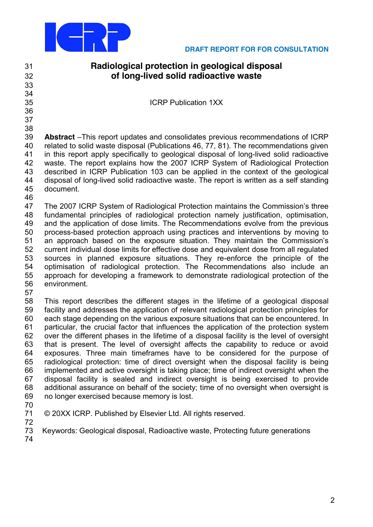

# **Radiological protection in geological disposal of long-lived solid radioactive waste**

ICRP Publication 1XX

- 
- 
- 
- 

**Abstract** - This report updates and consolidates previous recommendations of ICRP related to solid waste disposal (Publications 46, 77, 81). The recommendations given in this report apply specifically to geological disposal of long-lived solid radioactive waste. The report explains how the 2007 ICRP System of Radiological Protection described in ICRP Publication 103 can be applied in the context of the geological disposal of long-lived solid radioactive waste. The report is written as a self standing document.

47 The 2007 ICRP System of Radiological Protection maintains the Commission's three fundamental principles of radiological protection namely justification, optimisation, and the application of dose limits. The Recommendations evolve from the previous process-based protection approach using practices and interventions by moving to 51 an approach based on the exposure situation. They maintain the Commission's current individual dose limits for effective dose and equivalent dose from all regulated sources in planned exposure situations. They re-enforce the principle of the optimisation of radiological protection. The Recommendations also include an approach for developing a framework to demonstrate radiological protection of the environment.

 This report describes the different stages in the lifetime of a geological disposal facility and addresses the application of relevant radiological protection principles for each stage depending on the various exposure situations that can be encountered. In particular, the crucial factor that influences the application of the protection system over the different phases in the lifetime of a disposal facility is the level of oversight that is present. The level of oversight affects the capability to reduce or avoid exposures. Three main timeframes have to be considered for the purpose of radiological protection: time of direct oversight when the disposal facility is being implemented and active oversight is taking place; time of indirect oversight when the disposal facility is sealed and indirect oversight is being exercised to provide additional assurance on behalf of the society; time of no oversight when oversight is no longer exercised because memory is lost.

- 
- © 20XX ICRP. Published by Elsevier Ltd. All rights reserved.
- 

Keywords: Geological disposal, Radioactive waste, Protecting future generations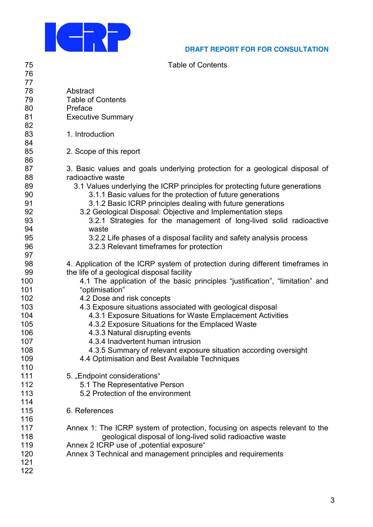

75

76

# DRAFT REPORT FOR FOR CONSULTATION

**Table of Contents** 

| 77  |                                                                                |
|-----|--------------------------------------------------------------------------------|
| 78  | Abstract                                                                       |
| 79  | <b>Table of Contents</b>                                                       |
| 80  | Preface                                                                        |
| 81  | <b>Executive Summary</b>                                                       |
| 82  |                                                                                |
| 83  | 1. Introduction                                                                |
| 84  |                                                                                |
| 85  | 2. Scope of this report                                                        |
| 86  |                                                                                |
| 87  | 3. Basic values and goals underlying protection for a geological disposal of   |
| 88  | radioactive waste                                                              |
| 89  | 3.1 Values underlying the ICRP principles for protecting future generations    |
| 90  | 3.1.1 Basic values for the protection of future generations                    |
| 91  | 3.1.2 Basic ICRP principles dealing with future generations                    |
| 92  | 3.2 Geological Disposal: Objective and Implementation steps                    |
| 93  | 3.2.1 Strategies for the management of long-lived solid radioactive            |
| 94  | waste                                                                          |
| 95  | 3.2.2 Life phases of a disposal facility and safety analysis process           |
| 96  | 3.2.3 Relevant timeframes for protection                                       |
| 97  |                                                                                |
| 98  | 4. Application of the ICRP system of protection during different timeframes in |
| 99  | the life of a geological disposal facility                                     |
| 100 | 4.1 The application of the basic principles "justification", "limitation" and  |
| 101 | "optimisation"                                                                 |
| 102 | 4.2 Dose and risk concepts                                                     |
| 103 | 4.3 Exposure situations associated with geological disposal                    |
| 104 | 4.3.1 Exposure Situations for Waste Emplacement Activities                     |
| 105 | 4.3.2 Exposure Situations for the Emplaced Waste                               |
| 106 | 4.3.3 Natural disrupting events                                                |
| 107 | 4.3.4 Inadvertent human intrusion                                              |
| 108 | 4.3.5 Summary of relevant exposure situation according oversight               |
| 109 |                                                                                |
| 110 | 4.4 Optimisation and Best Available Techniques                                 |
| 111 | 5. "Endpoint considerations"                                                   |
| 112 | 5.1 The Representative Person                                                  |
| 113 | 5.2 Protection of the environment                                              |
| 114 |                                                                                |
| 115 | 6. References                                                                  |
| 116 |                                                                                |
| 117 | Annex 1: The ICRP system of protection, focusing on aspects relevant to the    |
| 118 | geological disposal of long-lived solid radioactive waste                      |
| 119 | Annex 2 ICRP use of "potential exposure"                                       |
| 120 | Annex 3 Technical and management principles and requirements                   |
| 121 |                                                                                |
| 122 |                                                                                |
|     |                                                                                |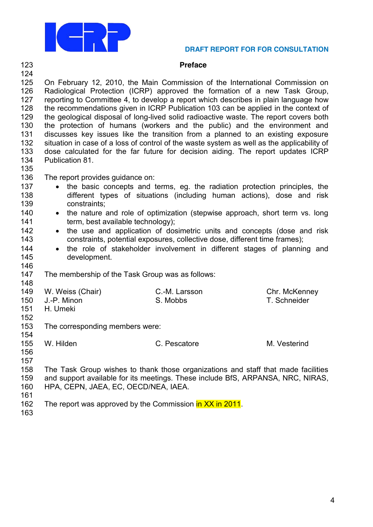

# **Preface**

| 124                                                                |                                                                                                                                                                                                          |                                                                                                                                                                                                                                                                                                                                                                                                                                                                                                                                                                                                                                                                                                                                                                                   |               |  |  |  |  |  |
|--------------------------------------------------------------------|----------------------------------------------------------------------------------------------------------------------------------------------------------------------------------------------------------|-----------------------------------------------------------------------------------------------------------------------------------------------------------------------------------------------------------------------------------------------------------------------------------------------------------------------------------------------------------------------------------------------------------------------------------------------------------------------------------------------------------------------------------------------------------------------------------------------------------------------------------------------------------------------------------------------------------------------------------------------------------------------------------|---------------|--|--|--|--|--|
| 125<br>126<br>127<br>128<br>129<br>130<br>131<br>132<br>133<br>134 | Publication 81.                                                                                                                                                                                          | On February 12, 2010, the Main Commission of the International Commission on<br>Radiological Protection (ICRP) approved the formation of a new Task Group,<br>reporting to Committee 4, to develop a report which describes in plain language how<br>the recommendations given in ICRP Publication 103 can be applied in the context of<br>the geological disposal of long-lived solid radioactive waste. The report covers both<br>the protection of humans (workers and the public) and the environment and<br>discusses key issues like the transition from a planned to an existing exposure<br>situation in case of a loss of control of the waste system as well as the applicability of<br>dose calculated for the far future for decision aiding. The report updates ICRP |               |  |  |  |  |  |
| 135                                                                |                                                                                                                                                                                                          |                                                                                                                                                                                                                                                                                                                                                                                                                                                                                                                                                                                                                                                                                                                                                                                   |               |  |  |  |  |  |
| 136<br>137<br>138<br>139                                           | The report provides guidance on:<br>the basic concepts and terms, eg. the radiation protection principles, the<br>different types of situations (including human actions), dose and risk<br>constraints; |                                                                                                                                                                                                                                                                                                                                                                                                                                                                                                                                                                                                                                                                                                                                                                                   |               |  |  |  |  |  |
| 140                                                                | $\bullet$                                                                                                                                                                                                | the nature and role of optimization (stepwise approach, short term vs. long                                                                                                                                                                                                                                                                                                                                                                                                                                                                                                                                                                                                                                                                                                       |               |  |  |  |  |  |
| 141                                                                | term, best available technology);                                                                                                                                                                        |                                                                                                                                                                                                                                                                                                                                                                                                                                                                                                                                                                                                                                                                                                                                                                                   |               |  |  |  |  |  |
| 142                                                                | $\bullet$                                                                                                                                                                                                | the use and application of dosimetric units and concepts (dose and risk                                                                                                                                                                                                                                                                                                                                                                                                                                                                                                                                                                                                                                                                                                           |               |  |  |  |  |  |
| 143                                                                |                                                                                                                                                                                                          | constraints, potential exposures, collective dose, different time frames);                                                                                                                                                                                                                                                                                                                                                                                                                                                                                                                                                                                                                                                                                                        |               |  |  |  |  |  |
| 144                                                                | $\bullet$                                                                                                                                                                                                | the role of stakeholder involvement in different stages of planning and                                                                                                                                                                                                                                                                                                                                                                                                                                                                                                                                                                                                                                                                                                           |               |  |  |  |  |  |
| 145                                                                | development.                                                                                                                                                                                             |                                                                                                                                                                                                                                                                                                                                                                                                                                                                                                                                                                                                                                                                                                                                                                                   |               |  |  |  |  |  |
| 146                                                                |                                                                                                                                                                                                          |                                                                                                                                                                                                                                                                                                                                                                                                                                                                                                                                                                                                                                                                                                                                                                                   |               |  |  |  |  |  |
| 147                                                                | The membership of the Task Group was as follows:                                                                                                                                                         |                                                                                                                                                                                                                                                                                                                                                                                                                                                                                                                                                                                                                                                                                                                                                                                   |               |  |  |  |  |  |
| 148                                                                |                                                                                                                                                                                                          |                                                                                                                                                                                                                                                                                                                                                                                                                                                                                                                                                                                                                                                                                                                                                                                   |               |  |  |  |  |  |
| 149                                                                | W. Weiss (Chair)                                                                                                                                                                                         | C.-M. Larsson                                                                                                                                                                                                                                                                                                                                                                                                                                                                                                                                                                                                                                                                                                                                                                     | Chr. McKenney |  |  |  |  |  |
| 150                                                                | J.-P. Minon                                                                                                                                                                                              | S. Mobbs                                                                                                                                                                                                                                                                                                                                                                                                                                                                                                                                                                                                                                                                                                                                                                          | T. Schneider  |  |  |  |  |  |
| 151                                                                | H. Umeki                                                                                                                                                                                                 |                                                                                                                                                                                                                                                                                                                                                                                                                                                                                                                                                                                                                                                                                                                                                                                   |               |  |  |  |  |  |
| 152                                                                |                                                                                                                                                                                                          |                                                                                                                                                                                                                                                                                                                                                                                                                                                                                                                                                                                                                                                                                                                                                                                   |               |  |  |  |  |  |
| 153                                                                | The corresponding members were:                                                                                                                                                                          |                                                                                                                                                                                                                                                                                                                                                                                                                                                                                                                                                                                                                                                                                                                                                                                   |               |  |  |  |  |  |
| 154                                                                |                                                                                                                                                                                                          |                                                                                                                                                                                                                                                                                                                                                                                                                                                                                                                                                                                                                                                                                                                                                                                   |               |  |  |  |  |  |
| 155                                                                | W. Hilden                                                                                                                                                                                                | C. Pescatore                                                                                                                                                                                                                                                                                                                                                                                                                                                                                                                                                                                                                                                                                                                                                                      | M. Vesterind  |  |  |  |  |  |
| 156                                                                |                                                                                                                                                                                                          |                                                                                                                                                                                                                                                                                                                                                                                                                                                                                                                                                                                                                                                                                                                                                                                   |               |  |  |  |  |  |
| 157                                                                |                                                                                                                                                                                                          |                                                                                                                                                                                                                                                                                                                                                                                                                                                                                                                                                                                                                                                                                                                                                                                   |               |  |  |  |  |  |
| 158                                                                |                                                                                                                                                                                                          |                                                                                                                                                                                                                                                                                                                                                                                                                                                                                                                                                                                                                                                                                                                                                                                   |               |  |  |  |  |  |
| 159                                                                | The Task Group wishes to thank those organizations and staff that made facilities                                                                                                                        |                                                                                                                                                                                                                                                                                                                                                                                                                                                                                                                                                                                                                                                                                                                                                                                   |               |  |  |  |  |  |
| 160                                                                | and support available for its meetings. These include BfS, ARPANSA, NRC, NIRAS,<br>HPA, CEPN, JAEA, EC, OECD/NEA, IAEA.                                                                                  |                                                                                                                                                                                                                                                                                                                                                                                                                                                                                                                                                                                                                                                                                                                                                                                   |               |  |  |  |  |  |
| 161                                                                |                                                                                                                                                                                                          |                                                                                                                                                                                                                                                                                                                                                                                                                                                                                                                                                                                                                                                                                                                                                                                   |               |  |  |  |  |  |
| 162                                                                |                                                                                                                                                                                                          | The report was approved by the Commission in XX in 2011.                                                                                                                                                                                                                                                                                                                                                                                                                                                                                                                                                                                                                                                                                                                          |               |  |  |  |  |  |
|                                                                    |                                                                                                                                                                                                          |                                                                                                                                                                                                                                                                                                                                                                                                                                                                                                                                                                                                                                                                                                                                                                                   |               |  |  |  |  |  |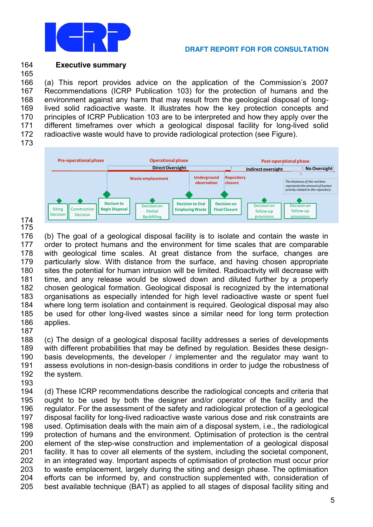

#### 164 **Executive summary**

166 (a) This report provides advice on the application of the Commission's 2007 167 Recommendations (ICRP Publication 103) for the protection of humans and the 168 environment against any harm that may result from the geological disposal of long-169 lived solid radioactive waste. It illustrates how the key protection concepts and 170 principles of ICRP Publication 103 are to be interpreted and how they apply over the 171 different timeframes over which a geological disposal facility for long-lived solid 172 radioactive waste would have to provide radiological protection (see Figure).

173

165



174 175

176 (b) The goal of a geological disposal facility is to isolate and contain the waste in 177 order to protect humans and the environment for time scales that are comparable 178 with geological time scales. At great distance from the surface, changes are 179 particularly slow. With distance from the surface, and having chosen appropriate 180 sites the potential for human intrusion will be limited. Radioactivity will decrease with 181 time, and any release would be slowed down and diluted further by a properly 182 chosen geological formation. Geological disposal is recognized by the international 183 organisations as especially intended for high level radioactive waste or spent fuel 184 where long term isolation and containment is required. Geological disposal may also 185 be used for other long-lived wastes since a similar need for long term protection 186 applies. 187

188 (c) The design of a geological disposal facility addresses a series of developments 189 with different probabilities that may be defined by regulation. Besides these design-190 basis developments, the developer / implementer and the regulator may want to 191 assess evolutions in non-design-basis conditions in order to judge the robustness of 192 the system.

193

(d) These ICRP recommendations describe the radiological concepts and criteria that 194 195 ought to be used by both the designer and/or operator of the facility and the 196 regulator. For the assessment of the safety and radiological protection of a geological 197 disposal facility for long-lived radioactive waste various dose and risk constraints are 198 used. Optimisation deals with the main aim of a disposal system, i.e., the radiological 199 protection of humans and the environment. Optimisation of protection is the central 200 element of the step-wise construction and implementation of a geological disposal 201 facility. It has to cover all elements of the system, including the societal component, 202 in an integrated way. Important aspects of optimisation of protection must occur prior 203 to waste emplacement, largely during the siting and design phase. The optimisation  $204$ efforts can be informed by, and construction supplemented with, consideration of 205 best available technique (BAT) as applied to all stages of disposal facility siting and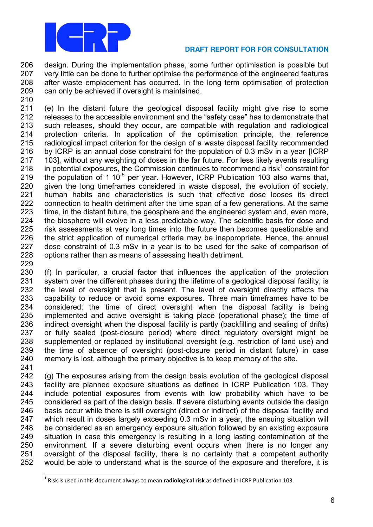

 design. During the implementation phase, some further optimisation is possible but very little can be done to further optimise the performance of the engineered features after waste emplacement has occurred. In the long term optimisation of protection can only be achieved if oversight is maintained.

 (e) In the distant future the geological disposal facility might give rise to some 212 releases to the accessible environment and the "safety case" has to demonstrate that such releases, should they occur, are compatible with regulation and radiological protection criteria. In application of the optimisation principle, the reference radiological impact criterion for the design of a waste disposal facility recommended by ICRP is an annual dose constraint for the population of 0.3 mSv in a year [ICRP 103], without any weighting of doses in the far future. For less likely events resulting 218 in potential exposures, the Commission continues to recommend a risk<sup>1</sup> constraint for 219 the population of 1 10 $<sup>5</sup>$  per year. However, ICRP Publication 103 also warns that,</sup> given the long timeframes considered in waste disposal, the evolution of society, human habits and characteristics is such that effective dose looses its direct connection to health detriment after the time span of a few generations. At the same time, in the distant future, the geosphere and the engineered system and, even more, the biosphere will evolve in a less predictable way. The scientific basis for dose and risk assessments at very long times into the future then becomes questionable and the strict application of numerical criteria may be inappropriate. Hence, the annual dose constraint of 0.3 mSv in a year is to be used for the sake of comparison of options rather than as means of assessing health detriment. 

 (f) In particular, a crucial factor that influences the application of the protection system over the different phases during the lifetime of a geological disposal facility, is the level of oversight that is present. The level of oversight directly affects the capability to reduce or avoid some exposures. Three main timeframes have to be considered: the time of direct oversight when the disposal facility is being implemented and active oversight is taking place (operational phase); the time of indirect oversight when the disposal facility is partly (backfilling and sealing of drifts) or fully sealed (post-closure period) where direct regulatory oversight might be supplemented or replaced by institutional oversight (e.g. restriction of land use) and the time of absence of oversight (post-closure period in distant future) in case memory is lost, although the primary objective is to keep memory of the site. 

 (g) The exposures arising from the design basis evolution of the geological disposal facility are planned exposure situations as defined in ICRP Publication 103. They include potential exposures from events with low probability which have to be considered as part of the design basis. If severe disturbing events outside the design basis occur while there is still oversight (direct or indirect) of the disposal facility and which result in doses largely exceeding 0.3 mSv in a year, the ensuing situation will be considered as an emergency exposure situation followed by an existing exposure situation in case this emergency is resulting in a long lasting contamination of the environment. If a severe disturbing event occurs when there is no longer any oversight of the disposal facility, there is no certainty that a competent authority would be able to understand what is the source of the exposure and therefore, it is

<sup>&</sup>lt;sup>1</sup> Risk is used in this document always to mean **radiological risk** as defined in ICRP Publication 103.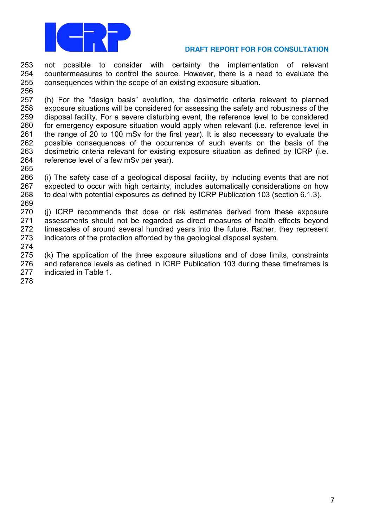

 not possible to consider with certainty the implementation of relevant countermeasures to control the source. However, there is a need to evaluate the consequences within the scope of an existing exposure situation. 

 (h) For the "design basis" evolution, the dosimetric criteria relevant to planned exposure situations will be considered for assessing the safety and robustness of the disposal facility. For a severe disturbing event, the reference level to be considered for emergency exposure situation would apply when relevant (i.e. reference level in the range of 20 to 100 mSv for the first year). It is also necessary to evaluate the possible consequences of the occurrence of such events on the basis of the dosimetric criteria relevant for existing exposure situation as defined by ICRP (i.e. reference level of a few mSv per year).

 (i) The safety case of a geological disposal facility, by including events that are not expected to occur with high certainty, includes automatically considerations on how to deal with potential exposures as defined by ICRP Publication 103 (section 6.1.3). 

 (j) ICRP recommends that dose or risk estimates derived from these exposure assessments should not be regarded as direct measures of health effects beyond timescales of around several hundred years into the future. Rather, they represent indicators of the protection afforded by the geological disposal system.

 (k) The application of the three exposure situations and of dose limits, constraints and reference levels as defined in ICRP Publication 103 during these timeframes is indicated in Table 1.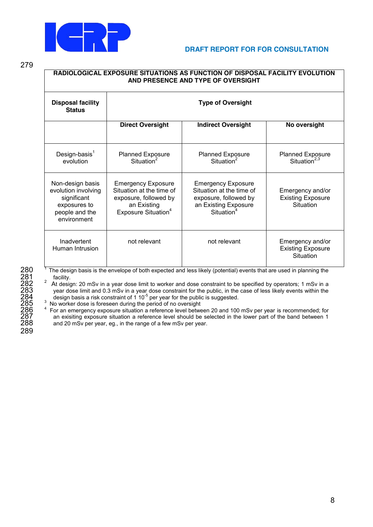

279

| RADIOLOGICAL EXPOSURE SITUATIONS AS FUNCTION OF DISPOSAL FACILITY EVOLUTION<br>AND PRESENCE AND TYPE OF OVERSIGHT |                                                                                                                                  |                                                                                                                                  |                                                           |  |  |  |
|-------------------------------------------------------------------------------------------------------------------|----------------------------------------------------------------------------------------------------------------------------------|----------------------------------------------------------------------------------------------------------------------------------|-----------------------------------------------------------|--|--|--|
| <b>Disposal facility</b><br><b>Status</b>                                                                         | <b>Type of Oversight</b>                                                                                                         |                                                                                                                                  |                                                           |  |  |  |
|                                                                                                                   | <b>Direct Oversight</b>                                                                                                          | <b>Indirect Oversight</b>                                                                                                        | No oversight                                              |  |  |  |
| Design-basis $1$<br>evolution                                                                                     | <b>Planned Exposure</b><br>Situation <sup>2</sup>                                                                                | <b>Planned Exposure</b><br>Situation <sup>2</sup>                                                                                | <b>Planned Exposure</b><br>Situation <sup>2,3</sup>       |  |  |  |
| Non-design basis<br>evolution involving<br>significant<br>exposures to<br>people and the<br>environment           | <b>Emergency Exposure</b><br>Situation at the time of<br>exposure, followed by<br>an Existing<br>Exposure Situation <sup>4</sup> | <b>Emergency Exposure</b><br>Situation at the time of<br>exposure, followed by<br>an Existing Exposure<br>Situation <sup>4</sup> | Emergency and/or<br><b>Existing Exposure</b><br>Situation |  |  |  |
| Inadvertent<br>Human Intrusion                                                                                    | not relevant                                                                                                                     | not relevant                                                                                                                     | Emergency and/or<br><b>Existing Exposure</b><br>Situation |  |  |  |

280 The design basis is the envelope of both expected and less likely (potential) events that are used in planning the<br>281 The design: 20 mSv in a year dose limit to worker and dose constraint to be specified by operators <sup>2</sup> At design: 20 mSv in a year dose limit to worker and dose constraint to be specified by operators; 1 mSv in a year dose limit and 0.3 mSv in a year dose constraint for the public, in the case of less likely events within the design basis a risk constraint of 1 10<sup>-5</sup> per year for the public is suggested.

285 <sup>3</sup> No worker dose is foreseen during the period of no oversight<br>286 <sup>4</sup> For an emergency exposure situation a reference level between 20 and 100 mSv per year is recommended; for<br>287 an exisiting exposure situation a r 287 an exisiting exposure situation a reference level should be selected in the lower part of the band between 1<br>288 and 20 mSv per vear, eq., in the range of a few mSv per vear. and 20 mSv per year, eg., in the range of a few mSv per year.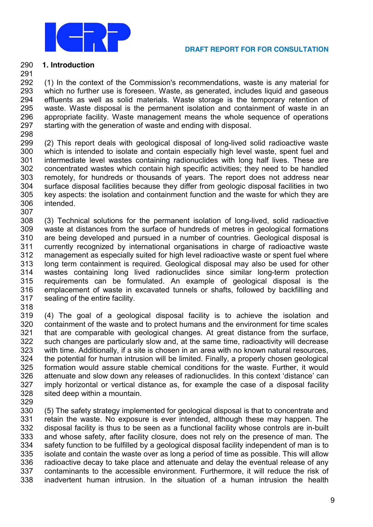

# **1. Introduction**

 (1) In the context of the Commission's recommendations, waste is any material for which no further use is foreseen. Waste, as generated, includes liquid and gaseous effluents as well as solid materials. Waste storage is the temporary retention of waste. Waste disposal is the permanent isolation and containment of waste in an appropriate facility. Waste management means the whole sequence of operations starting with the generation of waste and ending with disposal.

 (2) This report deals with geological disposal of long-lived solid radioactive waste which is intended to isolate and contain especially high level waste, spent fuel and intermediate level wastes containing radionuclides with long half lives. These are concentrated wastes which contain high specific activities; they need to be handled remotely, for hundreds or thousands of years. The report does not address near surface disposal facilities because they differ from geologic disposal facilities in two key aspects: the isolation and containment function and the waste for which they are intended. 

 (3) Technical solutions for the permanent isolation of long-lived, solid radioactive waste at distances from the surface of hundreds of metres in geological formations are being developed and pursued in a number of countries. Geological disposal is currently recognized by international organisations in charge of radioactive waste management as especially suited for high level radioactive waste or spent fuel where long term containment is required. Geological disposal may also be used for other wastes containing long lived radionuclides since similar long-term protection requirements can be formulated. An example of geological disposal is the emplacement of waste in excavated tunnels or shafts, followed by backfilling and sealing of the entire facility.

 (4) The goal of a geological disposal facility is to achieve the isolation and containment of the waste and to protect humans and the environment for time scales that are comparable with geological changes. At great distance from the surface, such changes are particularly slow and, at the same time, radioactivity will decrease with time. Additionally, if a site is chosen in an area with no known natural resources, the potential for human intrusion will be limited. Finally, a properly chosen geological formation would assure stable chemical conditions for the waste. Further, it would 326 attenuate and slow down any releases of radionuclides. In this context 'distance' can imply horizontal or vertical distance as, for example the case of a disposal facility sited deep within a mountain.

 (5) The safety strategy implemented for geological disposal is that to concentrate and retain the waste. No exposure is ever intended, although these may happen. The disposal facility is thus to be seen as a functional facility whose controls are in-built and whose safety, after facility closure, does not rely on the presence of man. The safety function to be fulfilled by a geological disposal facility independent of man is to isolate and contain the waste over as long a period of time as possible. This will allow radioactive decay to take place and attenuate and delay the eventual release of any contaminants to the accessible environment. Furthermore, it will reduce the risk of inadvertent human intrusion. In the situation of a human intrusion the health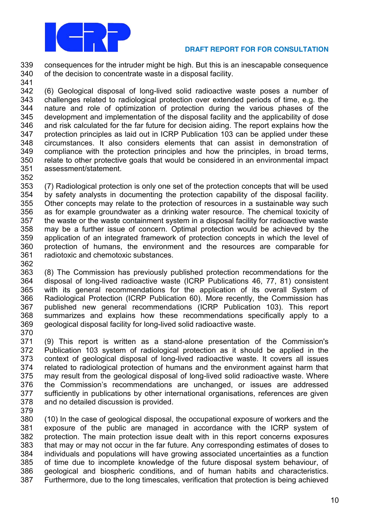

 consequences for the intruder might be high. But this is an inescapable consequence of the decision to concentrate waste in a disposal facility.

 (6) Geological disposal of long-lived solid radioactive waste poses a number of challenges related to radiological protection over extended periods of time, e.g. the nature and role of optimization of protection during the various phases of the development and implementation of the disposal facility and the applicability of dose and risk calculated for the far future for decision aiding. The report explains how the protection principles as laid out in ICRP Publication 103 can be applied under these circumstances. It also considers elements that can assist in demonstration of compliance with the protection principles and how the principles, in broad terms, relate to other protective goals that would be considered in an environmental impact assessment/statement.

 (7) Radiological protection is only one set of the protection concepts that will be used by safety analysts in documenting the protection capability of the disposal facility. Other concepts may relate to the protection of resources in a sustainable way such as for example groundwater as a drinking water resource. The chemical toxicity of the waste or the waste containment system in a disposal facility for radioactive waste may be a further issue of concern. Optimal protection would be achieved by the application of an integrated framework of protection concepts in which the level of protection of humans, the environment and the resources are comparable for radiotoxic and chemotoxic substances.

 (8) The Commission has previously published protection recommendations for the disposal of long-lived radioactive waste (ICRP Publications 46, 77, 81) consistent with its general recommendations for the application of its overall System of Radiological Protection (ICRP Publication 60). More recently, the Commission has published new general recommendations (ICRP Publication 103). This report summarizes and explains how these recommendations specifically apply to a geological disposal facility for long-lived solid radioactive waste. 

 (9) This report is written as a stand-alone presentation of the Commission's Publication 103 system of radiological protection as it should be applied in the context of geological disposal of long-lived radioactive waste. It covers all issues related to radiological protection of humans and the environment against harm that may result from the geological disposal of long-lived solid radioactive waste. Where 376 the Commission's recommendations are unchanged, or issues are addressed sufficiently in publications by other international organisations, references are given and no detailed discussion is provided.

 (10) In the case of geological disposal, the occupational exposure of workers and the exposure of the public are managed in accordance with the ICRP system of protection. The main protection issue dealt with in this report concerns exposures that may or may not occur in the far future. Any corresponding estimates of doses to individuals and populations will have growing associated uncertainties as a function of time due to incomplete knowledge of the future disposal system behaviour, of geological and biospheric conditions, and of human habits and characteristics. Furthermore, due to the long timescales, verification that protection is being achieved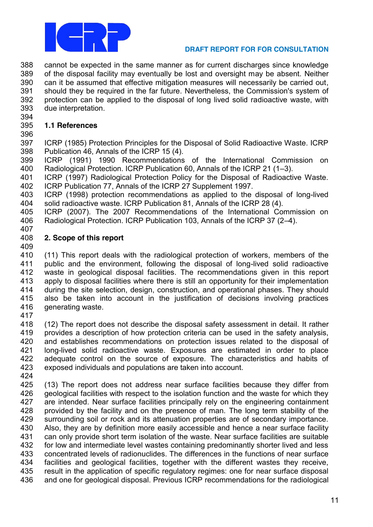

 cannot be expected in the same manner as for current discharges since knowledge of the disposal facility may eventually be lost and oversight may be absent. Neither can it be assumed that effective mitigation measures will necessarily be carried out, should they be required in the far future. Nevertheless, the Commission's system of protection can be applied to the disposal of long lived solid radioactive waste, with due interpretation.

# **1.1 References**

 ICRP (1985) Protection Principles for the Disposal of Solid Radioactive Waste. ICRP Publication 46, Annals of the ICRP 15 (4).

 ICRP (1991) 1990 Recommendations of the International Commission on 400 Radiological Protection. ICRP Publication 60, Annals of the ICRP 21 (1-3).

 ICRP (1997) Radiological Protection Policy for the Disposal of Radioactive Waste. ICRP Publication 77, Annals of the ICRP 27 Supplement 1997.

 ICRP (1998) protection recommendations as applied to the disposal of long-lived solid radioactive waste. ICRP Publication 81, Annals of the ICRP 28 (4).

 ICRP (2007). The 2007 Recommendations of the International Commission on 406 Radiological Protection. ICRP Publication 103, Annals of the ICRP 37 (2-4).

#### **2. Scope of this report**

 (11) This report deals with the radiological protection of workers, members of the public and the environment, following the disposal of long-lived solid radioactive waste in geological disposal facilities. The recommendations given in this report apply to disposal facilities where there is still an opportunity for their implementation during the site selection, design, construction, and operational phases. They should also be taken into account in the justification of decisions involving practices generating waste.

 (12) The report does not describe the disposal safety assessment in detail. It rather provides a description of how protection criteria can be used in the safety analysis, and establishes recommendations on protection issues related to the disposal of long-lived solid radioactive waste. Exposures are estimated in order to place adequate control on the source of exposure. The characteristics and habits of exposed individuals and populations are taken into account.

 (13) The report does not address near surface facilities because they differ from 426 geological facilities with respect to the isolation function and the waste for which they are intended. Near surface facilities principally rely on the engineering containment provided by the facility and on the presence of man. The long term stability of the surrounding soil or rock and its attenuation properties are of secondary importance. Also, they are by definition more easily accessible and hence a near surface facility can only provide short term isolation of the waste. Near surface facilities are suitable for low and intermediate level wastes containing predominantly shorter lived and less concentrated levels of radionuclides. The differences in the functions of near surface facilities and geological facilities, together with the different wastes they receive, result in the application of specific regulatory regimes: one for near surface disposal and one for geological disposal. Previous ICRP recommendations for the radiological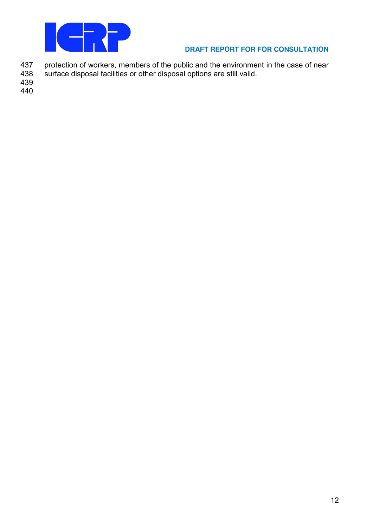

- 437 protection of workers, members of the public and the environment in the case of near<br>438 surface disposal facilities or other disposal options are still valid.
- surface disposal facilities or other disposal options are still valid.
- 439
- 440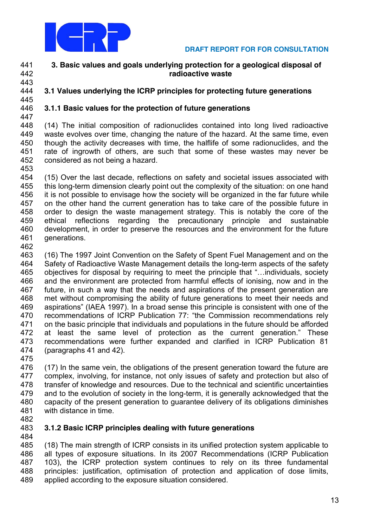

# **3. Basic values and goals underlying protection for a geological disposal of radioactive waste**

#### **3.1 Values underlying the ICRP principles for protecting future generations**

# **3.1.1 Basic values for the protection of future generations**

 (14) The initial composition of radionuclides contained into long lived radioactive waste evolves over time, changing the nature of the hazard. At the same time, even though the activity decreases with time, the halflife of some radionuclides, and the rate of ingrowth of others, are such that some of these wastes may never be considered as not being a hazard. 

 (15) Over the last decade, reflections on safety and societal issues associated with this long-term dimension clearly point out the complexity of the situation: on one hand it is not possible to envisage how the society will be organized in the far future while on the other hand the current generation has to take care of the possible future in order to design the waste management strategy. This is notably the core of the ethical reflections regarding the precautionary principle and sustainable development, in order to preserve the resources and the environment for the future generations.

 (16) The 1997 Joint Convention on the Safety of Spent Fuel Management and on the Safety of Radioactive Waste Management details the long-term aspects of the safety 465 objectives for disposal by requiring to meet the principle that "...individuals, society and the environment are protected from harmful effects of ionising, now and in the future, in such a way that the needs and aspirations of the present generation are met without compromising the ability of future generations to meet their needs and 469 aspirations" (IAEA 1997). In a broad sense this principle is consistent with one of the 470 recommendations of ICRP Publication 77: "the Commission recommendations rely on the basic principle that individuals and populations in the future should be afforded 472 at least the same level of protection as the current generation." These recommendations were further expanded and clarified in ICRP Publication 81 (paragraphs 41 and 42).

 (17) In the same vein, the obligations of the present generation toward the future are complex, involving, for instance, not only issues of safety and protection but also of transfer of knowledge and resources. Due to the technical and scientific uncertainties and to the evolution of society in the long-term, it is generally acknowledged that the capacity of the present generation to guarantee delivery of its obligations diminishes with distance in time.

#### **3.1.2 Basic ICRP principles dealing with future generations**

 (18) The main strength of ICRP consists in its unified protection system applicable to all types of exposure situations. In its 2007 Recommendations (ICRP Publication 103), the ICRP protection system continues to rely on its three fundamental principles: justification, optimisation of protection and application of dose limits, applied according to the exposure situation considered.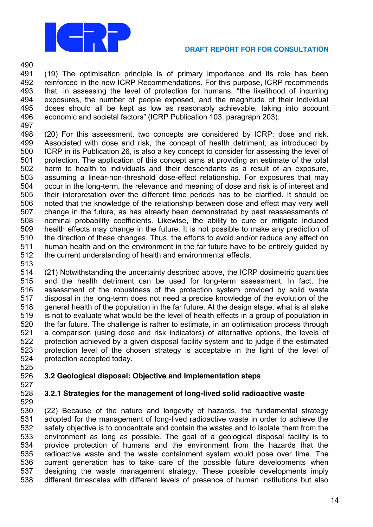

 (19) The optimisation principle is of primary importance and its role has been reinforced in the new ICRP Recommendations. For this purpose, ICRP recommends 493 that, in assessing the level of protection for humans, "the likelihood of incurring exposures, the number of people exposed, and the magnitude of their individual doses should all be kept as low as reasonably achievable, taking into account 496 economic and societal factors" (ICRP Publication 103, paragraph 203).

 (20) For this assessment, two concepts are considered by ICRP: dose and risk. Associated with dose and risk, the concept of health detriment, as introduced by ICRP in its Publication 26, is also a key concept to consider for assessing the level of protection. The application of this concept aims at providing an estimate of the total harm to health to individuals and their descendants as a result of an exposure, assuming a linear-non-threshold dose-effect relationship. For exposures that may occur in the long-term, the relevance and meaning of dose and risk is of interest and their interpretation over the different time periods has to be clarified. It should be noted that the knowledge of the relationship between dose and effect may very well change in the future, as has already been demonstrated by past reassessments of nominal probability coefficients. Likewise, the ability to cure or mitigate induced health effects may change in the future. It is not possible to make any prediction of the direction of these changes. Thus, the efforts to avoid and/or reduce any effect on human health and on the environment in the far future have to be entirely guided by the current understanding of health and environmental effects.

 (21) Notwithstanding the uncertainty described above, the ICRP dosimetric quantities and the health detriment can be used for long-term assessment. In fact, the assessment of the robustness of the protection system provided by solid waste disposal in the long-term does not need a precise knowledge of the evolution of the general health of the population in the far future. At the design stage, what is at stake is not to evaluate what would be the level of health effects in a group of population in the far future. The challenge is rather to estimate, in an optimisation process through a comparison (using dose and risk indicators) of alternative options, the levels of protection achieved by a given disposal facility system and to judge if the estimated protection level of the chosen strategy is acceptable in the light of the level of protection accepted today.

# **3.2 Geological disposal: Objective and Implementation steps**

# **3.2.1 Strategies for the management of long-lived solid radioactive waste**

 (22) Because of the nature and longevity of hazards, the fundamental strategy adopted for the management of long-lived radioactive waste in order to achieve the safety objective is to concentrate and contain the wastes and to isolate them from the environment as long as possible. The goal of a geological disposal facility is to provide protection of humans and the environment from the hazards that the radioactive waste and the waste containment system would pose over time. The current generation has to take care of the possible future developments when designing the waste management strategy. These possible developments imply different timescales with different levels of presence of human institutions but also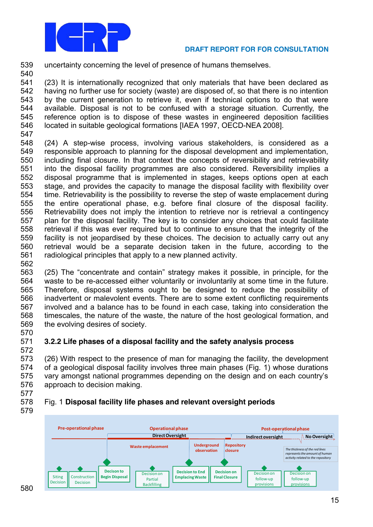

539 uncertainty concerning the level of presence of humans themselves.

 (23) It is internationally recognized that only materials that have been declared as having no further use for society (waste) are disposed of, so that there is no intention by the current generation to retrieve it, even if technical options to do that were available. Disposal is not to be confused with a storage situation. Currently, the reference option is to dispose of these wastes in engineered deposition facilities located in suitable geological formations [IAEA 1997, OECD-NEA 2008].

547

562

572

579

540

 (24) A step-wise process, involving various stakeholders, is considered as a responsible approach to planning for the disposal development and implementation, including final closure. In that context the concepts of reversibility and retrievability into the disposal facility programmes are also considered. Reversibility implies a disposal programme that is implemented in stages, keeps options open at each stage, and provides the capacity to manage the disposal facility with flexibility over time. Retrievability is the possibility to reverse the step of waste emplacement during the entire operational phase, e.g. before final closure of the disposal facility. Retrievability does not imply the intention to retrieve nor is retrieval a contingency plan for the disposal facility. The key is to consider any choices that could facilitate retrieval if this was ever required but to continue to ensure that the integrity of the facility is not jeopardised by these choices. The decision to actually carry out any retrieval would be a separate decision taken in the future, according to the radiological principles that apply to a new planned activity.

- 563 (25) The "concentrate and contain" strategy makes it possible, in principle, for the 564 waste to be re-accessed either voluntarily or involuntarily at some time in the future. 565 Therefore, disposal systems ought to be designed to reduce the possibility of 566 inadvertent or malevolent events. There are to some extent conflicting requirements 567 involved and a balance has to be found in each case, taking into consideration the 568 timescales, the nature of the waste, the nature of the host geological formation, and 569 the evolving desires of society. 570
- 571 **3.2.2 Life phases of a disposal facility and the safety analysis process**

573 (26) With respect to the presence of man for managing the facility, the development 574 of a geological disposal facility involves three main phases (Fig. 1) whose durations 575 vary amongst national programmes depending on the design and on each country's 576 approach to decision making. 577

# 578 Fig. 1 **Disposal facility life phases and relevant oversight periods**

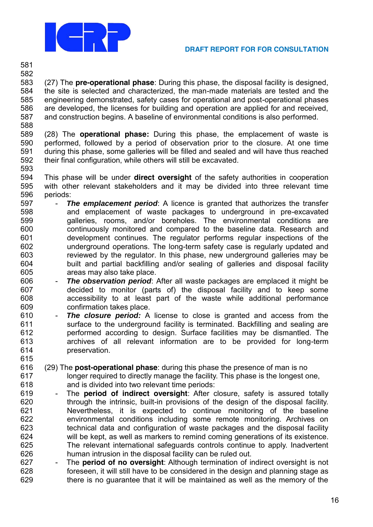

 

 (27) The **pre-operational phase**: During this phase, the disposal facility is designed, the site is selected and characterized, the man-made materials are tested and the engineering demonstrated, safety cases for operational and post-operational phases are developed, the licenses for building and operation are applied for and received, and construction begins. A baseline of environmental conditions is also performed.

 (28) The **operational phase:** During this phase, the emplacement of waste is performed, followed by a period of observation prior to the closure. At one time during this phase, some galleries will be filled and sealed and will have thus reached their final configuration, while others will still be excavated. 

 This phase will be under **direct oversight** of the safety authorities in cooperation with other relevant stakeholders and it may be divided into three relevant time periods:

- **The emplacement period**: A licence is granted that authorizes the transfer and emplacement of waste packages to underground in pre-excavated galleries, rooms, and/or boreholes. The environmental conditions are continuously monitored and compared to the baseline data. Research and development continues. The regulator performs regular inspections of the underground operations. The long-term safety case is regularly updated and reviewed by the regulator. In this phase, new underground galleries may be built and partial backfilling and/or sealing of galleries and disposal facility areas may also take place.
- **The observation period**: After all waste packages are emplaced it might be decided to monitor (parts of) the disposal facility and to keep some accessibility to at least part of the waste while additional performance confirmation takes place.
- **The closure period:** A license to close is granted and access from the surface to the underground facility is terminated. Backfilling and sealing are performed according to design. Surface facilities may be dismantled. The archives of all relevant information are to be provided for long-term preservation.
- (29) The **post-operational phase**: during this phase the presence of man is no longer required to directly manage the facility. This phase is the longest one, and is divided into two relevant time periods:
- The **period of indirect oversight**: After closure, safety is assured totally through the intrinsic, built-in provisions of the design of the disposal facility. Nevertheless, it is expected to continue monitoring of the baseline environmental conditions including some remote monitoring. Archives on technical data and configuration of waste packages and the disposal facility will be kept, as well as markers to remind coming generations of its existence. The relevant international safeguards controls continue to apply. Inadvertent human intrusion in the disposal facility can be ruled out.
- The **period of no oversight**: Although termination of indirect oversight is not foreseen, it will still have to be considered in the design and planning stage as there is no guarantee that it will be maintained as well as the memory of the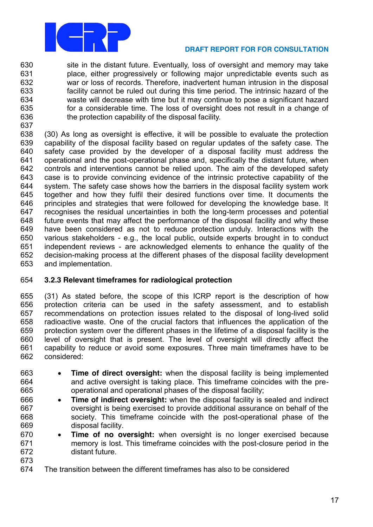

 site in the distant future. Eventually, loss of oversight and memory may take place, either progressively or following major unpredictable events such as war or loss of records. Therefore, inadvertent human intrusion in the disposal facility cannot be ruled out during this time period. The intrinsic hazard of the waste will decrease with time but it may continue to pose a significant hazard for a considerable time. The loss of oversight does not result in a change of the protection capability of the disposal facility.

 (30) As long as oversight is effective, it will be possible to evaluate the protection capability of the disposal facility based on regular updates of the safety case. The safety case provided by the developer of a disposal facility must address the operational and the post-operational phase and, specifically the distant future, when controls and interventions cannot be relied upon. The aim of the developed safety case is to provide convincing evidence of the intrinsic protective capability of the system. The safety case shows how the barriers in the disposal facility system work together and how they fulfil their desired functions over time. It documents the principles and strategies that were followed for developing the knowledge base. It recognises the residual uncertainties in both the long-term processes and potential future events that may affect the performance of the disposal facility and why these have been considered as not to reduce protection unduly. Interactions with the various stakeholders - e.g., the local public, outside experts brought in to conduct independent reviews - are acknowledged elements to enhance the quality of the decision-making process at the different phases of the disposal facility development and implementation.

# **3.2.3 Relevant timeframes for radiological protection**

 (31) As stated before, the scope of this ICRP report is the description of how protection criteria can be used in the safety assessment, and to establish recommendations on protection issues related to the disposal of long-lived solid radioactive waste. One of the crucial factors that influences the application of the protection system over the different phases in the lifetime of a disposal facility is the level of oversight that is present. The level of oversight will directly affect the capability to reduce or avoid some exposures. Three main timeframes have to be considered:

- **Time of direct oversight:** when the disposal facility is being implemented and active oversight is taking place. This timeframe coincides with the pre-operational and operational phases of the disposal facility;
- **Time of indirect oversight:** when the disposal facility is sealed and indirect oversight is being exercised to provide additional assurance on behalf of the society. This timeframe coincide with the post-operational phase of the disposal facility.
- **Time of no oversight:** when oversight is no longer exercised because memory is lost. This timeframe coincides with the post-closure period in the distant future.
- The transition between the different timeframes has also to be considered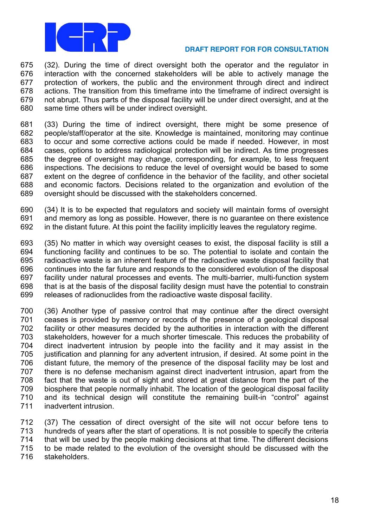

 (32). During the time of direct oversight both the operator and the regulator in interaction with the concerned stakeholders will be able to actively manage the protection of workers, the public and the environment through direct and indirect actions. The transition from this timeframe into the timeframe of indirect oversight is not abrupt. Thus parts of the disposal facility will be under direct oversight, and at the same time others will be under indirect oversight.

 (33) During the time of indirect oversight, there might be some presence of people/staff/operator at the site. Knowledge is maintained, monitoring may continue to occur and some corrective actions could be made if needed. However, in most cases, options to address radiological protection will be indirect. As time progresses the degree of oversight may change, corresponding, for example, to less frequent inspections. The decisions to reduce the level of oversight would be based to some extent on the degree of confidence in the behavior of the facility, and other societal and economic factors. Decisions related to the organization and evolution of the oversight should be discussed with the stakeholders concerned.

 (34) It is to be expected that regulators and society will maintain forms of oversight and memory as long as possible. However, there is no guarantee on there existence in the distant future. At this point the facility implicitly leaves the regulatory regime.

 (35) No matter in which way oversight ceases to exist, the disposal facility is still a functioning facility and continues to be so. The potential to isolate and contain the radioactive waste is an inherent feature of the radioactive waste disposal facility that continues into the far future and responds to the considered evolution of the disposal facility under natural processes and events. The multi-barrier, multi-function system that is at the basis of the disposal facility design must have the potential to constrain releases of radionuclides from the radioactive waste disposal facility.

 (36) Another type of passive control that may continue after the direct oversight ceases is provided by memory or records of the presence of a geological disposal facility or other measures decided by the authorities in interaction with the different stakeholders, however for a much shorter timescale. This reduces the probability of direct inadvertent intrusion by people into the facility and it may assist in the 705 iustification and planning for any advertent intrusion, if desired. At some point in the distant future, the memory of the presence of the disposal facility may be lost and there is no defense mechanism against direct inadvertent intrusion, apart from the fact that the waste is out of sight and stored at great distance from the part of the biosphere that people normally inhabit. The location of the geological disposal facility 710 and its technical design will constitute the remaining built-in "control" against inadvertent intrusion.

 (37) The cessation of direct oversight of the site will not occur before tens to hundreds of years after the start of operations. It is not possible to specify the criteria that will be used by the people making decisions at that time. The different decisions to be made related to the evolution of the oversight should be discussed with the stakeholders.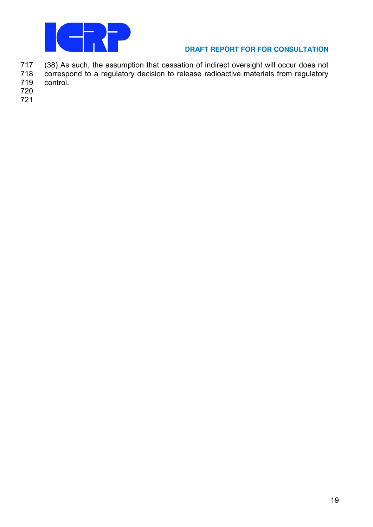

717 (38) As such, the assumption that cessation of indirect oversight will occur does not<br>718 correspond to a regulatory decision to release radioactive materials from regulatory 718 correspond to a regulatory decision to release radioactive materials from regulatory<br>719 control.

- control.
- 720
- 721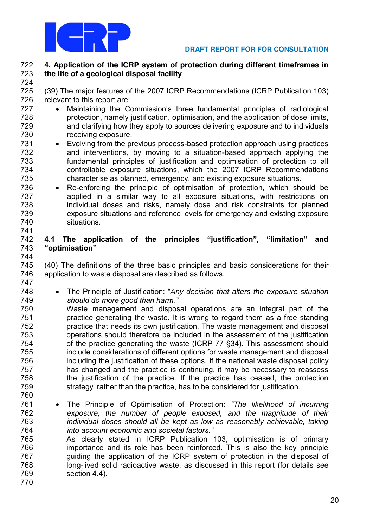

#### **4. Application of the ICRP system of protection during different timeframes in the life of a geological disposal facility**

 (39) The major features of the 2007 ICRP Recommendations (ICRP Publication 103) relevant to this report are:

- 727 Maintaining the Commission's three fundamental principles of radiological **3.1-** protection, namely justification, optimisation, and the application of dose limits, and clarifying how they apply to sources delivering exposure and to individuals receiving exposure.
- Evolving from the previous process-based protection approach using practices and interventions, by moving to a situation-based approach applying the 733 fundamental principles of justification and optimisation of protection to all controllable exposure situations, which the 2007 ICRP Recommendations characterise as planned, emergency, and existing exposure situations.
- Re-enforcing the principle of optimisation of protection, which should be applied in a similar way to all exposure situations, with restrictions on individual doses and risks, namely dose and risk constraints for planned exposure situations and reference levels for emergency and existing exposure situations.

#### **4.1 The application of the principles "justification", "limitation" and "optimisation"**

745 (40) The definitions of the three basic principles and basic considerations for their application to waste disposal are described as follows. 

- 748 The Principle of Justification: "Any decision that alters the exposure situation *should do more good than harm."*
- Waste management and disposal operations are an integral part of the practice generating the waste. It is wrong to regard them as a free standing practice that needs its own justification. The waste management and disposal operations should therefore be included in the assessment of the justification of the practice generating the waste (ICRP 77 §34). This assessment should include considerations of different options for waste management and disposal including the justification of these options. If the national waste disposal policy has changed and the practice is continuing, it may be necessary to reassess the justification of the practice. If the practice has ceased, the protection 759 strategy, rather than the practice, has to be considered for justification.
- The Principle of Optimisation of Protection: *"The likelihood of incurring* 762 exposure, the number of people exposed, and the magnitude of their<br>763 http://www.individual.doses.should.all.be.kept.as.low.as.reasonably.achievable.taking individual doses should all be kept as low as reasonably achievable, taking *into account economic and societal factors."* As clearly stated in ICRP Publication 103, optimisation is of primary importance and its role has been reinforced. This is also the key principle guiding the application of the ICRP system of protection in the disposal of long-lived solid radioactive waste, as discussed in this report (for details see
- section 4.4).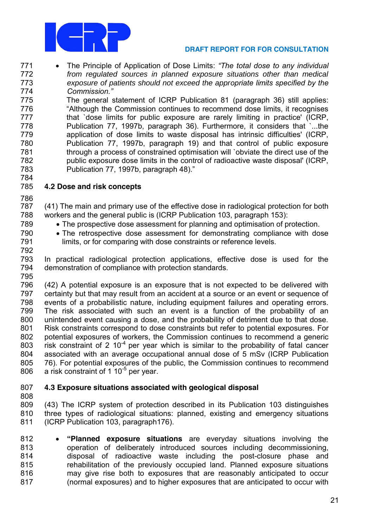

- The Principle of Application of Dose Limits: *"The total dose to any individual* from regulated sources in planned exposure situations other than medical exposure of patients should not exceed the appr*opriate limits specified by the Commission."*
- The general statement of ICRP Publication 81 (paragraph 36) still applies: 776 "Although the Commission continues to recommend dose limits, it recognises 777 that `dose limits for public exposure are rarely limiting in practice' (ICRP, Publication 77, 1997b, paragraph 36). Furthermore, it considers that `...the application of dose limits to waste disposal has intrinsic difficulties' (ICRP, Publication 77, 1997b, paragraph 19) and that control of public exposure through a process of constrained optimisation will `obviate the direct use of the public exposure dose limits in the control of radioactive waste disposal' (ICRP, 783 Publication 77, 1997b, paragraph 48)."

# **4.2 Dose and risk concepts**

- (41) The main and primary use of the effective dose in radiological protection for both workers and the general public is (ICRP Publication 103, paragraph 153):
- The prospective dose assessment for planning and optimisation of protection.
- The retrospective dose assessment for demonstrating compliance with dose limits, or for comparing with dose constraints or reference levels.
- In practical radiological protection applications, effective dose is used for the demonstration of compliance with protection standards.
- (42) A potential exposure is an exposure that is not expected to be delivered with certainty but that may result from an accident at a source or an event or sequence of events of a probabilistic nature, including equipment failures and operating errors. The risk associated with such an event is a function of the probability of an unintended event causing a dose, and the probability of detriment due to that dose. Risk constraints correspond to dose constraints but refer to potential exposures. For potential exposures of workers, the Commission continues to recommend a generic 803 risk constraint of 2 10 $<sup>4</sup>$  per year which is similar to the probability of fatal cancer</sup> associated with an average occupational annual dose of 5 mSv (ICRP Publication 76). For potential exposures of the public, the Commission continues to recommend 806 a risk constraint of 1 10 $<sup>5</sup>$  per year.</sup>

# **4.3 Exposure situations associated with geological disposal**

- (43) The ICRP system of protection described in its Publication 103 distinguishes three types of radiological situations: planned, existing and emergency situations (ICRP Publication 103, paragraph176).
- **"Planned exposure situations** are everyday situations involving the operation of deliberately introduced sources including decommissioning, disposal of radioactive waste including the post-closure phase and rehabilitation of the previously occupied land. Planned exposure situations may give rise both to exposures that are reasonably anticipated to occur (normal exposures) and to higher exposures that are anticipated to occur with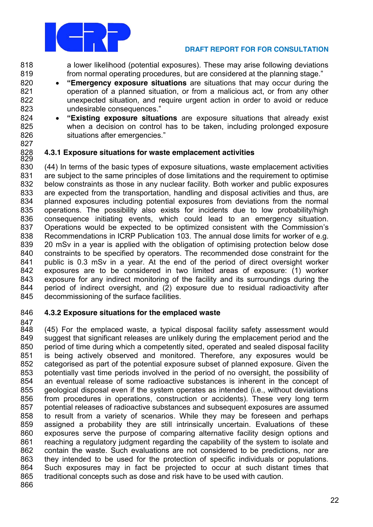

 a lower likelihood (potential exposures). These may arise following deviations 819 from normal operating procedures, but are considered at the planning stage."

- **"Emergency exposure situations** are situations that may occur during the operation of a planned situation, or from a malicious act, or from any other unexpected situation, and require urgent action in order to avoid or reduce 823 undesirable consequences."
- **"Existing exposure situations** are exposure situations that already exist when a decision on control has to be taken, including prolonged exposure 826 situations after emergencies."
- 

#### **4.3.1 Exposure situations for waste emplacement activities**

 (44) In terms of the basic types of exposure situations, waste emplacement activities are subject to the same principles of dose limitations and the requirement to optimise below constraints as those in any nuclear facility. Both worker and public exposures are expected from the transportation, handling and disposal activities and thus, are planned exposures including potential exposures from deviations from the normal operations. The possibility also exists for incidents due to low probability/high consequence initiating events, which could lead to an emergency situation. 837 Operations would be expected to be optimized consistent with the Commission's Recommendations in ICRP Publication 103. The annual dose limits for worker of e.g. 20 mSv in a year is applied with the obligation of optimising protection below dose constraints to be specified by operators. The recommended dose constraint for the public is 0.3 mSv in a year. At the end of the period of direct oversight worker exposures are to be considered in two limited areas of exposure: (1) worker exposure for any indirect monitoring of the facility and its surroundings during the period of indirect oversight, and (2) exposure due to residual radioactivity after 845 decommissioning of the surface facilities.

# **4.3.2 Exposure situations for the emplaced waste**

847<br>848 (45) For the emplaced waste, a typical disposal facility safety assessment would suggest that significant releases are unlikely during the emplacement period and the period of time during which a competently sited, operated and sealed disposal facility is being actively observed and monitored. Therefore, any exposures would be categorised as part of the potential exposure subset of planned exposure. Given the potentially vast time periods involved in the period of no oversight, the possibility of an eventual release of some radioactive substances is inherent in the concept of geological disposal even if the system operates as intended (i.e., without deviations from procedures in operations, construction or accidents). These very long term potential releases of radioactive substances and subsequent exposures are assumed to result from a variety of scenarios. While they may be foreseen and perhaps assigned a probability they are still intrinsically uncertain. Evaluations of these exposures serve the purpose of comparing alternative facility design options and reaching a regulatory judgment regarding the capability of the system to isolate and contain the waste. Such evaluations are not considered to be predictions, nor are they intended to be used for the protection of specific individuals or populations. Such exposures may in fact be projected to occur at such distant times that traditional concepts such as dose and risk have to be used with caution.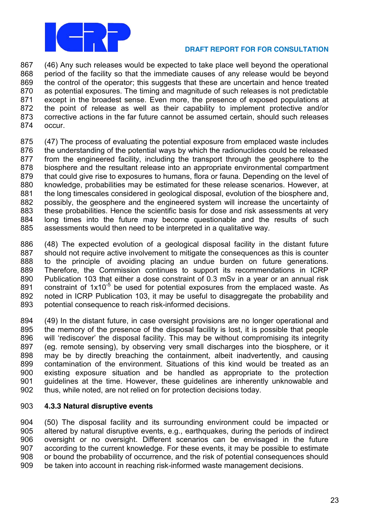

 (46) Any such releases would be expected to take place well beyond the operational period of the facility so that the immediate causes of any release would be beyond the control of the operator; this suggests that these are uncertain and hence treated as potential exposures. The timing and magnitude of such releases is not predictable except in the broadest sense. Even more, the presence of exposed populations at the point of release as well as their capability to implement protective and/or corrective actions in the far future cannot be assumed certain, should such releases occur.

- (47) The process of evaluating the potential exposure from emplaced waste includes the understanding of the potential ways by which the radionuclides could be released from the engineered facility, including the transport through the geosphere to the biosphere and the resultant release into an appropriate environmental compartment that could give rise to exposures to humans, flora or fauna. Depending on the level of knowledge, probabilities may be estimated for these release scenarios. However, at the long timescales considered in geological disposal, evolution of the biosphere and, possibly, the geosphere and the engineered system will increase the uncertainty of these probabilities. Hence the scientific basis for dose and risk assessments at very long times into the future may become questionable and the results of such assessments would then need to be interpreted in a qualitative way.
- (48) The expected evolution of a geological disposal facility in the distant future should not require active involvement to mitigate the consequences as this is counter to the principle of avoiding placing an undue burden on future generations. Therefore, the Commission continues to support its recommendations in ICRP Publication 103 that either a dose constraint of 0.3 mSv in a year or an annual risk 891 constraint of  $1x10^{-5}$  be used for potential exposures from the emplaced waste. As noted in ICRP Publication 103, it may be useful to disaggregate the probability and potential consequence to reach risk-informed decisions.
- (49) In the distant future, in case oversight provisions are no longer operational and the memory of the presence of the disposal facility is lost, it is possible that people 896 will 'rediscover' the disposal facility. This may be without compromising its integrity (eg. remote sensing), by observing very small discharges into the biosphere, or it may be by directly breaching the containment, albeit inadvertently, and causing contamination of the environment. Situations of this kind would be treated as an existing exposure situation and be handled as appropriate to the protection guidelines at the time. However, these guidelines are inherently unknowable and thus, while noted, are not relied on for protection decisions today.

# **4.3.3 Natural disruptive events**

 (50) The disposal facility and its surrounding environment could be impacted or altered by natural disruptive events, e.g., earthquakes, during the periods of indirect oversight or no oversight. Different scenarios can be envisaged in the future according to the current knowledge. For these events, it may be possible to estimate or bound the probability of occurrence, and the risk of potential consequences should be taken into account in reaching risk-informed waste management decisions.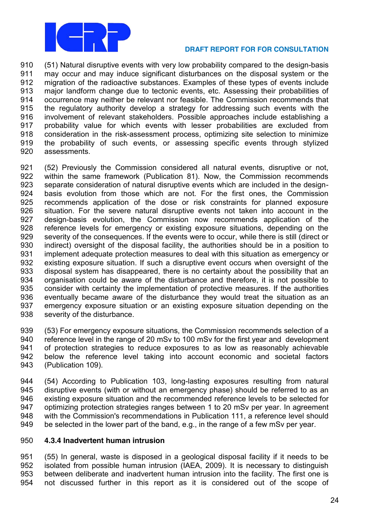

 (51) Natural disruptive events with very low probability compared to the design-basis may occur and may induce significant disturbances on the disposal system or the migration of the radioactive substances. Examples of these types of events include major landform change due to tectonic events, etc. Assessing their probabilities of occurrence may neither be relevant nor feasible. The Commission recommends that the regulatory authority develop a strategy for addressing such events with the involvement of relevant stakeholders. Possible approaches include establishing a probability value for which events with lesser probabilities are excluded from consideration in the risk-assessment process, optimizing site selection to minimize the probability of such events, or assessing specific events through stylized assessments.

 (52) Previously the Commission considered all natural events, disruptive or not, within the same framework (Publication 81). Now, the Commission recommends separate consideration of natural disruptive events which are included in the design- basis evolution from those which are not. For the first ones, the Commission recommends application of the dose or risk constraints for planned exposure situation. For the severe natural disruptive events not taken into account in the design-basis evolution, the Commission now recommends application of the reference levels for emergency or existing exposure situations, depending on the severity of the consequences. If the events were to occur, while there is still (direct or indirect) oversight of the disposal facility, the authorities should be in a position to implement adequate protection measures to deal with this situation as emergency or existing exposure situation. If such a disruptive event occurs when oversight of the disposal system has disappeared, there is no certainty about the possibility that an organisation could be aware of the disturbance and therefore, it is not possible to consider with certainty the implementation of protective measures. If the authorities eventually became aware of the disturbance they would treat the situation as an emergency exposure situation or an existing exposure situation depending on the severity of the disturbance.

 (53) For emergency exposure situations, the Commission recommends selection of a reference level in the range of 20 mSv to 100 mSv for the first year and development of protection strategies to reduce exposures to as low as reasonably achievable below the reference level taking into account economic and societal factors (Publication 109).

 (54) According to Publication 103, long-lasting exposures resulting from natural disruptive events (with or without an emergency phase) should be referred to as an existing exposure situation and the recommended reference levels to be selected for optimizing protection strategies ranges between 1 to 20 mSv per year. In agreement with the Commission's recommendations in Publication 111, a reference level should be selected in the lower part of the band, e.g., in the range of a few mSv per year.

# **4.3.4 Inadvertent human intrusion**

 (55) In general, waste is disposed in a geological disposal facility if it needs to be isolated from possible human intrusion (IAEA, 2009). It is necessary to distinguish between deliberate and inadvertent human intrusion into the facility. The first one is not discussed further in this report as it is considered out of the scope of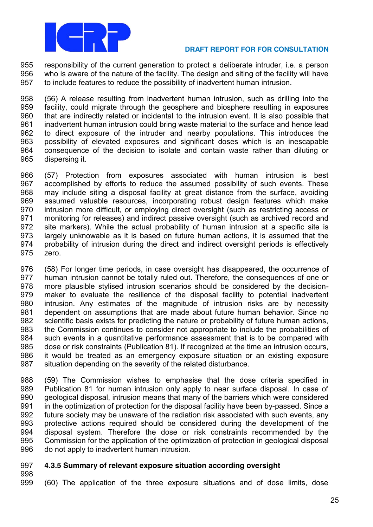

 responsibility of the current generation to protect a deliberate intruder, i.e. a person who is aware of the nature of the facility. The design and siting of the facility will have to include features to reduce the possibility of inadvertent human intrusion.

 (56) A release resulting from inadvertent human intrusion, such as drilling into the facility, could migrate through the geosphere and biosphere resulting in exposures that are indirectly related or incidental to the intrusion event. It is also possible that inadvertent human intrusion could bring waste material to the surface and hence lead to direct exposure of the intruder and nearby populations. This introduces the possibility of elevated exposures and significant doses which is an inescapable consequence of the decision to isolate and contain waste rather than diluting or dispersing it.

 (57) Protection from exposures associated with human intrusion is best accomplished by efforts to reduce the assumed possibility of such events. These may include siting a disposal facility at great distance from the surface, avoiding assumed valuable resources, incorporating robust design features which make intrusion more difficult, or employing direct oversight (such as restricting access or monitoring for releases) and indirect passive oversight (such as archived record and site markers). While the actual probability of human intrusion at a specific site is largely unknowable as it is based on future human actions, it is assumed that the probability of intrusion during the direct and indirect oversight periods is effectively zero.

 (58) For longer time periods, in case oversight has disappeared, the occurrence of human intrusion cannot be totally ruled out. Therefore, the consequences of one or more plausible stylised intrusion scenarios should be considered by the decision- maker to evaluate the resilience of the disposal facility to potential inadvertent intrusion. Any estimates of the magnitude of intrusion risks are by necessity dependent on assumptions that are made about future human behavior. Since no scientific basis exists for predicting the nature or probability of future human actions, the Commission continues to consider not appropriate to include the probabilities of such events in a quantitative performance assessment that is to be compared with dose or risk constraints (Publication 81). If recognized at the time an intrusion occurs, it would be treated as an emergency exposure situation or an existing exposure situation depending on the severity of the related disturbance.

 (59) The Commission wishes to emphasise that the dose criteria specified in Publication 81 for human intrusion only apply to near surface disposal. In case of geological disposal, intrusion means that many of the barriers which were considered in the optimization of protection for the disposal facility have been by-passed. Since a future society may be unaware of the radiation risk associated with such events, any protective actions required should be considered during the development of the disposal system. Therefore the dose or risk constraints recommended by the Commission for the application of the optimization of protection in geological disposal do not apply to inadvertent human intrusion.

# **4.3.5 Summary of relevant exposure situation according oversight**

(60) The application of the three exposure situations and of dose limits, dose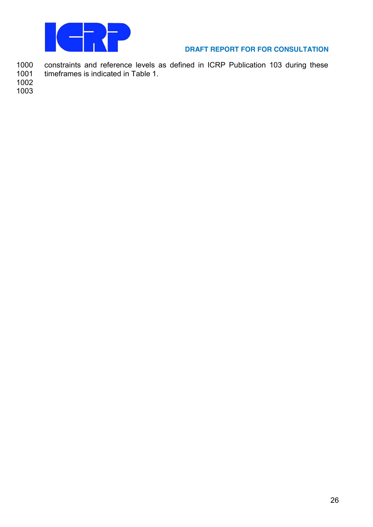

1000 constraints and reference levels as defined in ICRP Publication 103 during these<br>1001 timeframes is indicated in Table 1. timeframes is indicated in Table 1.

1002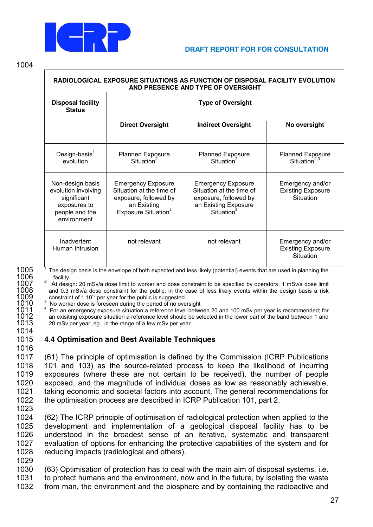

1004

| RADIOLOGICAL EXPOSURE SITUATIONS AS FUNCTION OF DISPOSAL FACILITY EVOLUTION<br>AND PRESENCE AND TYPE OF OVERSIGHT |                                                                                                                                  |                                                                                                                                  |                                                                  |  |  |  |  |
|-------------------------------------------------------------------------------------------------------------------|----------------------------------------------------------------------------------------------------------------------------------|----------------------------------------------------------------------------------------------------------------------------------|------------------------------------------------------------------|--|--|--|--|
| <b>Disposal facility</b><br><b>Status</b>                                                                         | <b>Type of Oversight</b>                                                                                                         |                                                                                                                                  |                                                                  |  |  |  |  |
|                                                                                                                   | <b>Direct Oversight</b>                                                                                                          | <b>Indirect Oversight</b>                                                                                                        | No oversight                                                     |  |  |  |  |
| Design-basis $1$<br>evolution                                                                                     | <b>Planned Exposure</b><br>Situation <sup>2</sup>                                                                                | <b>Planned Exposure</b><br>Situation <sup>2</sup>                                                                                | <b>Planned Exposure</b><br>Situation <sup>2,3</sup>              |  |  |  |  |
| Non-design basis<br>evolution involving<br>significant<br>exposures to<br>people and the<br>environment           | <b>Emergency Exposure</b><br>Situation at the time of<br>exposure, followed by<br>an Existing<br>Exposure Situation <sup>4</sup> | <b>Emergency Exposure</b><br>Situation at the time of<br>exposure, followed by<br>an Existing Exposure<br>Situation <sup>4</sup> | Emergency and/or<br><b>Existing Exposure</b><br><b>Situation</b> |  |  |  |  |
| Inadvertent<br>Human Intrusion                                                                                    | not relevant                                                                                                                     | not relevant                                                                                                                     | Emergency and/or<br><b>Existing Exposure</b><br>Situation        |  |  |  |  |

1005 The design basis is the envelope of both expected and less likely (potential) events that are used in planning the facility.

1007 <sup>2</sup> At design: 20 mSv/a dose limit to worker and dose constraint to be specified by operators; 1 mSv/a dose limit 1008 and 0.3 mSv/a dose constraint for the public; in the case of less likely events within the design 1008 and 0.3 mSv/a dose constraint for the public; in the case of less likely events within the design basis a risk  $1009$  constraint of 1 10<sup>-5</sup> per year for the public is suggested.

<sup>3</sup> No worker dose is foreseen during the period of no oversight<br>1011 <sup>3</sup> For an emergency exposure situation a reference level between 20 and 100 mSv per year is recommended; for<br>1012 an exisiting exposure situation a ref an exisiting exposure situation a reference level should be selected in the lower part of the band between 1 and 20 mSv per year, eg., in the range of a few mSv per year.

# 1015 **4.4 Optimisation and Best Available Techniques**

 (61) The principle of optimisation is defined by the Commission (ICRP Publications 101 and 103) as the source-related process to keep the likelihood of incurring exposures (where these are not certain to be received), the number of people exposed, and the magnitude of individual doses as low as reasonably achievable, taking economic and societal factors into account. The general recommendations for the optimisation process are described in ICRP Publication 101, part 2.

1023

1014

1016

 (62) The ICRP principle of optimisation of radiological protection when applied to the development and implementation of a geological disposal facility has to be understood in the broadest sense of an iterative, systematic and transparent evaluation of options for enhancing the protective capabilities of the system and for reducing impacts (radiological and others). 1029

1030 (63) Optimisation of protection has to deal with the main aim of disposal systems, i.e. 1031 to protect humans and the environment, now and in the future, by isolating the waste

1032 from man, the environment and the biosphere and by containing the radioactive and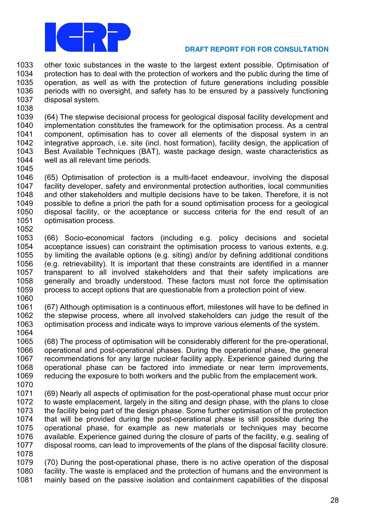

 other toxic substances in the waste to the largest extent possible. Optimisation of 1034 protection has to deal with the protection of workers and the public during the time of operation, as well as with the protection of future generations including possible periods with no oversight, and safety has to be ensured by a passively functioning disposal system.

 (64) The stepwise decisional process for geological disposal facility development and implementation constitutes the framework for the optimisation process. As a central component, optimisation has to cover all elements of the disposal system in an integrative approach, i.e. site (incl. host formation), facility design, the application of Best Available Techniques (BAT), waste package design, waste characteristics as well as all relevant time periods. 

- (65) Optimisation of protection is a multi-facet endeavour, involving the disposal facility developer, safety and environmental protection authorities, local communities and other stakeholders and multiple decisions have to be taken. Therefore, it is not possible to define a priori the path for a sound optimisation process for a geological disposal facility, or the acceptance or success criteria for the end result of an optimisation process.
- (66) Socio-economical factors (including e.g. policy decisions and societal acceptance issues) can constraint the optimisation process to various extents, e.g. by limiting the available options (e.g. siting) and/or by defining additional conditions (e.g. retrievability). It is important that these constraints are identified in a manner transparent to all involved stakeholders and that their safety implications are generally and broadly understood. These factors must not force the optimisation process to accept options that are questionable from a protection point of view.
- (67) Although optimisation is a continuous effort, milestones will have to be defined in the stepwise process, where all involved stakeholders can judge the result of the optimisation process and indicate ways to improve various elements of the system.
- (68) The process of optimisation will be considerably different for the pre-operational, operational and post-operational phases. During the operational phase, the general recommendations for any large nuclear facility apply. Experience gained during the operational phase can be factored into immediate or near term improvements, reducing the exposure to both workers and the public from the emplacement work.
- (69) Nearly all aspects of optimisation for the post-operational phase must occur prior to waste emplacement, largely in the siting and design phase, with the plans to close the facility being part of the design phase. Some further optimisation of the protection that will be provided during the post-operational phase is still possible during the operational phase, for example as new materials or techniques may become available. Experience gained during the closure of parts of the facility, e.g. sealing of disposal rooms, can lead to improvements of the plans of the disposal facility closure.
- (70) During the post-operational phase, there is no active operation of the disposal facility. The waste is emplaced and the protection of humans and the environment is mainly based on the passive isolation and containment capabilities of the disposal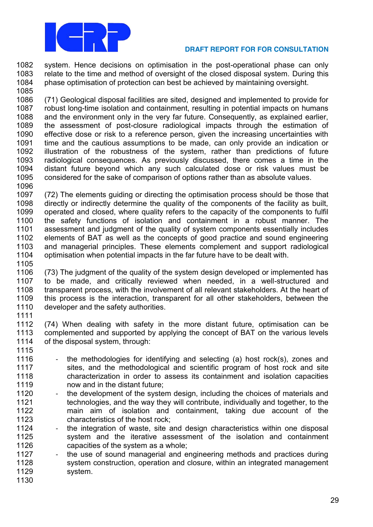

# **DRAFT REPORT FOR FOR CONSULTATION**

 system. Hence decisions on optimisation in the post-operational phase can only relate to the time and method of oversight of the closed disposal system. During this phase optimisation of protection can best be achieved by maintaining oversight. 

 (71) Geological disposal facilities are sited, designed and implemented to provide for robust long-time isolation and containment, resulting in potential impacts on humans and the environment only in the very far future. Consequently, as explained earlier, the assessment of post-closure radiological impacts through the estimation of effective dose or risk to a reference person, given the increasing uncertainties with time and the cautious assumptions to be made, can only provide an indication or illustration of the robustness of the system, rather than predictions of future radiological consequences. As previously discussed, there comes a time in the distant future beyond which any such calculated dose or risk values must be considered for the sake of comparison of options rather than as absolute values. 

 (72) The elements guiding or directing the optimisation process should be those that 1098 directly or indirectly determine the quality of the components of the facility as built. operated and closed, where quality refers to the capacity of the components to fulfil the safety functions of isolation and containment in a robust manner. The assessment and judgment of the quality of system components essentially includes elements of BAT as well as the concepts of good practice and sound engineering and managerial principles. These elements complement and support radiological optimisation when potential impacts in the far future have to be dealt with. 

1106 (73) The judgment of the quality of the system design developed or implemented has<br>1107 to be made, and critically reviewed when needed, in a well-structured and to be made, and critically reviewed when needed, in a well-structured and transparent process, with the involvement of all relevant stakeholders. At the heart of this process is the interaction, transparent for all other stakeholders, between the 1110 developer and the safety authorities. 

 (74) When dealing with safety in the more distant future, optimisation can be 1113 complemented and supported by applying the concept of BAT on the various levels<br>1114 of the disposal system, through: of the disposal system, through:

- 1116 the methodologies for identifying and selecting (a) host rock(s), zones and 1117 sites, and the methodological and scientific program of host rock and site characterization in order to assess its containment and isolation capacities now and in the distant future;
- 1120 the development of the system design, including the choices of materials and technologies, and the way they will contribute, individually and together, to the main aim of isolation and containment, taking due account of the characteristics of the host rock;
- 1124 the integration of waste, site and design characteristics within one disposal system and the iterative assessment of the isolation and containment capacities of the system as a whole;
- 1127 the use of sound managerial and engineering methods and practices during system construction, operation and closure, within an integrated management system.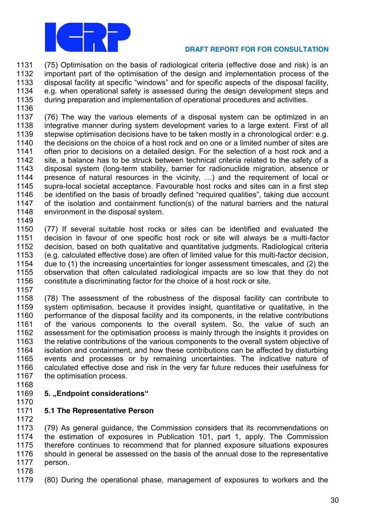

 (75) Optimisation on the basis of radiological criteria (effective dose and risk) is an important part of the optimisation of the design and implementation process of the 1133 disposal facility at specific "windows" and for specific aspects of the disposal facility, e.g. when operational safety is assessed during the design development steps and during preparation and implementation of operational procedures and activities.

 (76) The way the various elements of a disposal system can be optimized in an integrative manner during system development varies to a large extent. First of all stepwise optimisation decisions have to be taken mostly in a chronological order: e.g. 1140 the decisions on the choice of a host rock and on one or a limited number of sites are often prior to decisions on a detailed design. For the selection of a host rock and a 1142 site, a balance has to be struck between technical criteria related to the safety of a<br>1143 disposal system (long-term stability barrier for radionuclide migration, absence or disposal system (long-term stability, barrier for radionuclide migration, absence or 1144 presence of natural resources in the vicinity,  $\ldots$ ) and the requirement of local or supra-local societal acceptance. Favourable host rocks and sites can in a first step 1146 be identified on the basis of broadly defined "required qualities", taking due account of the isolation and containment function(s) of the natural barriers and the natural environment in the disposal system.

 (77) If several suitable host rocks or sites can be identified and evaluated the decision in favour of one specific host rock or site will always be a multi-factor decision, based on both qualitative and quantitative judgments. Radiological criteria (e.g. calculated effective dose) are often of limited value for this multi-factor decision, due to (1) the increasing uncertainties for longer assessment timescales, and (2) the observation that often calculated radiological impacts are so low that they do not constitute a discriminating factor for the choice of a host rock or site.

 (78) The assessment of the robustness of the disposal facility can contribute to system optimisation, because it provides insight, quantitative or qualitative, in the performance of the disposal facility and its components, in the relative contributions of the various components to the overall system. So, the value of such an assessment for the optimisation process is mainly through the insights it provides on 1163 the relative contributions of the various components to the overall system objective of isolation and containment, and how these contributions can be affected by disturbing events and processes or by remaining uncertainties. The indicative nature of calculated effective dose and risk in the very far future reduces their usefulness for 1167 the optimisation process.

- 
- **5. "Endpoint considerations"**
- 

# **5.1 The Representative Person**

 (79) As general guidance, the Commission considers that its recommendations on the estimation of exposures in Publication 101, part 1, apply. The Commission therefore continues to recommend that for planned exposure situations exposures should in general be assessed on the basis of the annual dose to the representative person.

(80) During the operational phase, management of exposures to workers and the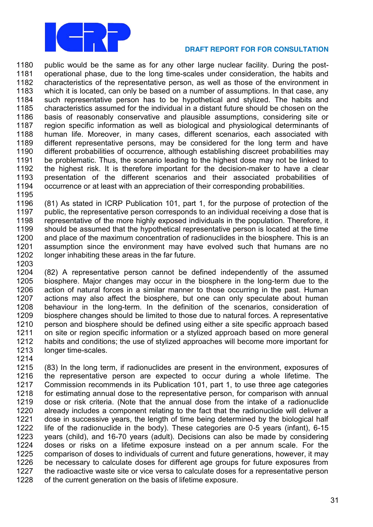

 public would be the same as for any other large nuclear facility. During the post- operational phase, due to the long time-scales under consideration, the habits and characteristics of the representative person, as well as those of the environment in which it is located, can only be based on a number of assumptions. In that case, any such representative person has to be hypothetical and stylized. The habits and characteristics assumed for the individual in a distant future should be chosen on the basis of reasonably conservative and plausible assumptions, considering site or region specific information as well as biological and physiological determinants of human life. Moreover, in many cases, different scenarios, each associated with different representative persons, may be considered for the long term and have different probabilities of occurrence, although establishing discreet probabilities may 1191 be problematic. Thus, the scenario leading to the highest dose may not be linked to 1192 the highest risk. It is therefore important for the decision-maker to have a clear the highest risk. It is therefore important for the decision-maker to have a clear presentation of the different scenarios and their associated probabilities of occurrence or at least with an appreciation of their corresponding probabilities.

 (81) As stated in ICRP Publication 101, part 1, for the purpose of protection of the public, the representative person corresponds to an individual receiving a dose that is representative of the more highly exposed individuals in the population. Therefore, it should be assumed that the hypothetical representative person is located at the time and place of the maximum concentration of radionuclides in the biosphere. This is an assumption since the environment may have evolved such that humans are no longer inhabiting these areas in the far future. 

 (82) A representative person cannot be defined independently of the assumed biosphere. Major changes may occur in the biosphere in the long-term due to the action of natural forces in a similar manner to those occurring in the past. Human actions may also affect the biosphere, but one can only speculate about human behaviour in the long-term. In the definition of the scenarios, consideration of biosphere changes should be limited to those due to natural forces. A representative person and biosphere should be defined using either a site specific approach based on site or region specific information or a stylized approach based on more general habits and conditions; the use of stylized approaches will become more important for longer time-scales.

 (83) In the long term, if radionuclides are present in the environment, exposures of the representative person are expected to occur during a whole lifetime. The Commission recommends in its Publication 101, part 1, to use three age categories for estimating annual dose to the representative person, for comparison with annual dose or risk criteria. (Note that the annual dose from the intake of a radionuclide already includes a component relating to the fact that the radionuclide will deliver a dose in successive years, the length of time being determined by the biological half life of the radionuclide in the body). These categories are 0-5 years (infant), 6-15 years (child), and 16-70 years (adult). Decisions can also be made by considering doses or risks on a lifetime exposure instead on a per annum scale. For the 1225 comparison of doses to individuals of current and future generations, however, it may<br>1226 be necessary to calculate doses for different age groups for future exposures from be necessary to calculate doses for different age groups for future exposures from the radioactive waste site or vice versa to calculate doses for a representative person of the current generation on the basis of lifetime exposure.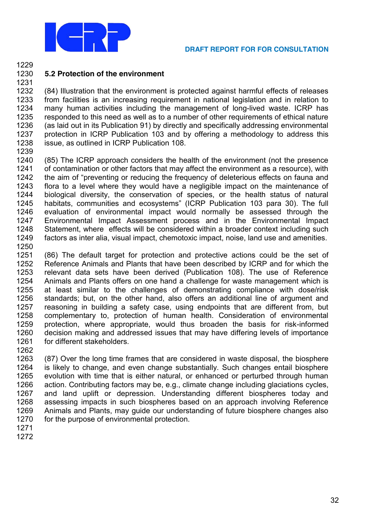

#### 1229

#### 1230 5.2 Protection of the environment 1231

1232 (84) Illustration that the environment is protected against harmful effects of releases 1233 from facilities is an increasing requirement in national legislation and in relation to 1234 many human activities including the management of long-lived waste. ICRP has 1235 responded to this need as well as to a number of other requirements of ethical nature 1236 (as laid out in its Publication 91) by directly and specifically addressing environmental 1237 protection in ICRP Publication 103 and by offering a methodology to address this 1238 issue, as outlined in ICRP Publication 108.

1239

1240 (85) The ICRP approach considers the health of the environment (not the presence 1241 of contamination or other factors that may affect the environment as a resource), with 1242 the aim of "preventing or reducing the frequency of deleterious effects on fauna and 1243 flora to a level where they would have a negligible impact on the maintenance of 1244 biological diversity, the conservation of species, or the health status of natural 1245 habitats, communities and ecosystems" (ICRP Publication 103 para 30). The full 1246 evaluation of environmental impact would normally be assessed through the 1247 Environmental Impact Assessment process and in the Environmental Impact 1248 Statement, where effects will be considered within a broader context including such 1249 factors as inter alia, visual impact, chemotoxic impact, noise, land use and amenities. 1250

1251 (86) The default target for protection and protective actions could be the set of 1252 Reference Animals and Plants that have been described by ICRP and for which the 1253 relevant data sets have been derived (Publication 108). The use of Reference 1254 Animals and Plants offers on one hand a challenge for waste management which is 1255 at least similar to the challenges of demonstrating compliance with dose/risk 1256 standards: but, on the other hand, also offers an additional line of aroument and reasoning in building a safety case, using endpoints that are different from. but 1257 1258 complementary to, protection of human health. Consideration of environmental 1259 protection, where appropriate, would thus broaden the basis for risk-informed 1260 decision making and addressed issues that may have differing levels of importance 1261 for different stakeholders.

1263 (87) Over the long time frames that are considered in waste disposal, the biosphere 1264 is likely to change, and even change substantially. Such changes entail biosphere 1265 evolution with time that is either natural, or enhanced or perturbed through human 1266 action. Contributing factors may be, e.g., climate change including glaciations cycles, 1267 and land uplift or depression. Understanding different biospheres today and 1268 assessing impacts in such biospheres based on an approach involving Reference 1269 Animals and Plants, may guide our understanding of future biosphere changes also 1270 for the purpose of environmental protection.

1271 1272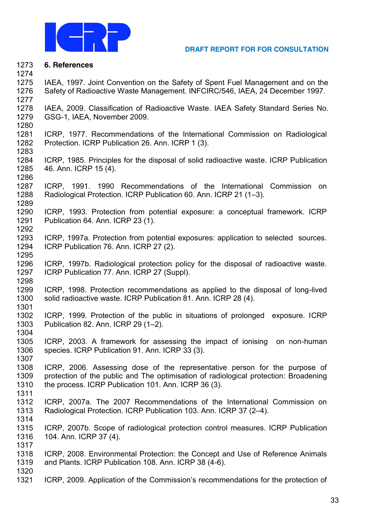

#### **6. References**

 IAEA, 1997. Joint Convention on the Safety of Spent Fuel Management and on the Safety of Radioactive Waste Management. INFCIRC/546, IAEA, 24 December 1997. 

 IAEA, 2009. Classification of Radioactive Waste. IAEA Safety Standard Series No. GSG-1, IAEA, November 2009. 

 ICRP, 1977. Recommendations of the International Commission on Radiological Protection. ICRP Publication 26. Ann. ICRP 1 (3).

 ICRP, 1985. Principles for the disposal of solid radioactive waste. ICRP Publication 46. Ann. ICRP 15 (4).

 ICRP, 1991. 1990 Recommendations of the International Commission on 1288 Radiological Protection. ICRP Publication 60. Ann. ICRP 21 (1-3). 

 ICRP, 1993. Protection from potential exposure: a conceptual framework. ICRP Publication 64. Ann. ICRP 23 (1).

 ICRP, 1997a. Protection from potential exposures: application to selected sources. ICRP Publication 76. Ann. ICRP 27 (2).

 ICRP, 1997b. Radiological protection policy for the disposal of radioactive waste. ICRP Publication 77. Ann. ICRP 27 (Suppl). 

 ICRP, 1998. Protection recommendations as applied to the disposal of long-lived solid radioactive waste. ICRP Publication 81. Ann. ICRP 28 (4).

 ICRP, 1999. Protection of the public in situations of prolonged exposure. ICRP 1303 Publication 82. Ann. ICRP 29 (1-2). 

 ICRP, 2003. A framework for assessing the impact of ionising on non-human species. ICRP Publication 91. Ann. ICRP 33 (3).

 ICRP, 2006. Assessing dose of the representative person for the purpose of protection of the public and The optimisation of radiological protection: Broadening the process. ICRP Publication 101. Ann. ICRP 36 (3). 

 ICRP, 2007a. The 2007 Recommendations of the International Commission on 1313 Radiological Protection. ICRP Publication 103. Ann. ICRP 37 (2-4). 

 ICRP, 2007b. Scope of radiological protection control measures. ICRP Publication 104. Ann. ICRP 37 (4).

 ICRP, 2008. Environmental Protection: the Concept and Use of Reference Animals and Plants. ICRP Publication 108. Ann. ICRP 38 (4-6).

1321 ICRP, 2009. Application of the Commission's recommendations for the protection of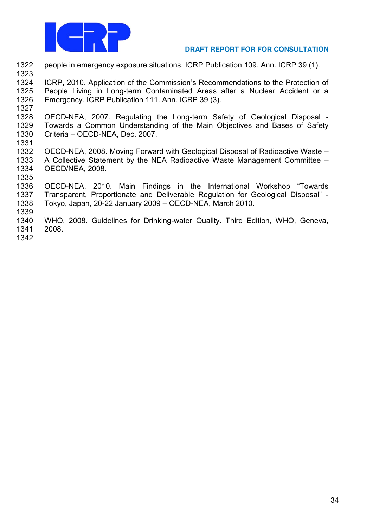

1322 people in emergency exposure situations. ICRP Publication 109. Ann. ICRP 39 (1). 1323

1324 ICRP, 2010. Application of the Commission's Recommendations to the Protection of 1325 People Living in Long-term Contaminated Areas after a Nuclear Accident or a 1326 Emergency. ICRP Publication 111. Ann. ICRP 39 (3).

1327

1328 OECD-NEA, 2007. Regulating the Long-term Safety of Geological Disposal -1329 Towards a Common Understanding of the Main Objectives and Bases of Safety 1330 Criteria - OECD-NEA, Dec. 2007.

- 1331
- 1332 OECD-NEA, 2008. Moving Forward with Geological Disposal of Radioactive Waste -1333 A Collective Statement by the NEA Radioactive Waste Management Committee – 1334 OECD/NEA, 2008.
- 1335

1336 OECD-NEA, 2010. Main Findings in the International Workshop "Towards 1337 Transparent, Proportionate and Deliverable Regulation for Geological Disposal" -1338 Tokyo, Japan, 20-22 January 2009 - OECD-NEA, March 2010.

1339

1340 WHO, 2008. Guidelines for Drinking-water Quality. Third Edition, WHO, Geneva, 1341 2008.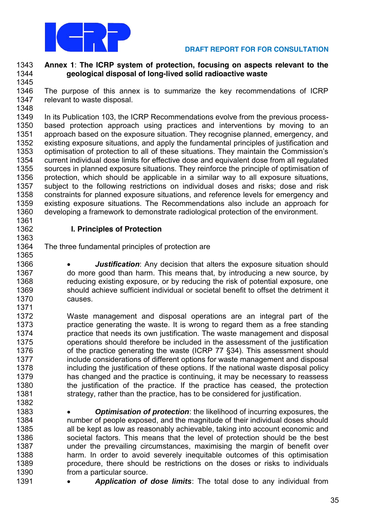

#### **Annex 1**: **The ICRP system of protection, focusing on aspects relevant to the geological disposal of long-lived solid radioactive waste**

 The purpose of this annex is to summarize the key recommendations of ICRP relevant to waste disposal.

 In its Publication 103, the ICRP Recommendations evolve from the previous process- based protection approach using practices and interventions by moving to an approach based on the exposure situation. They recognise planned, emergency, and existing exposure situations, and apply the fundamental principles of justification and 1353 optimisation of protection to all of these situations. They maintain the Commission's 1354 current individual dose limits for effective dose and equivalent dose from all regulated<br>1355 sources in planned exposure situations. They reinforce the principle of optimisation of sources in planned exposure situations. They reinforce the principle of optimisation of protection, which should be applicable in a similar way to all exposure situations, subject to the following restrictions on individual doses and risks; dose and risk constraints for planned exposure situations, and reference levels for emergency and existing exposure situations. The Recommendations also include an approach for developing a framework to demonstrate radiological protection of the environment.

# **I. Principles of Protection**

- The three fundamental principles of protection are
- 1366 *Iustification:* Any decision that alters the exposure situation should do more good than harm. This means that, by introducing a new source, by 1368 reducing existing exposure, or by reducing the risk of potential exposure, one 1369 should achieve sufficient individual or societal benefit to offset the detriment it causes.
- Waste management and disposal operations are an integral part of the practice generating the waste. It is wrong to regard them as a free standing practice that needs its own justification. The waste management and disposal operations should therefore be included in the assessment of the justification 1376 of the practice generating the waste (ICRP 77 §34). This assessment should include considerations of different options for waste management and disposal including the justification of these options. If the national waste disposal policy has changed and the practice is continuing, it may be necessary to reassess the justification of the practice. If the practice has ceased, the protection strategy, rather than the practice, has to be considered for justification.
- **Optimisation of protection**: the likelihood of incurring exposures, the number of people exposed, and the magnitude of their individual doses should all be kept as low as reasonably achievable, taking into account economic and societal factors. This means that the level of protection should be the best 1387 under the prevailing circumstances, maximising the margin of benefit over harm. In order to avoid severely inequitable outcomes of this optimisation procedure, there should be restrictions on the doses or risks to individuals **from a particular source.**
- **Application of dose limits**: The total dose to any individual from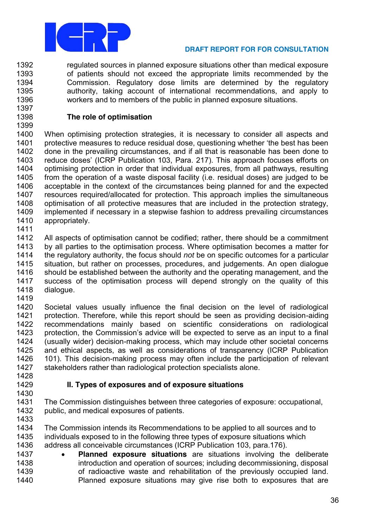

1392 regulated sources in planned exposure situations other than medical exposure of patients should not exceed the appropriate limits recommended by the 1393 Commission. Regulatory dose limits are determined by the regulatory 1394 authority, taking account of international recommendations, and apply to 1395 1396 workers and to members of the public in planned exposure situations. 1397

# The role of optimisation

1398 1399

1400 When optimising protection strategies, it is necessary to consider all aspects and 1401 protective measures to reduce residual dose, questioning whether 'the best has been done in the prevailing circumstances, and if all that is reasonable has been done to 1402 1403 reduce doses' (ICRP Publication 103, Para. 217). This approach focuses efforts on optimising protection in order that individual exposures, from all pathways, resulting 1404 1405 from the operation of a waste disposal facility (i.e. residual doses) are judged to be 1406 acceptable in the context of the circumstances being planned for and the expected 1407 resources required/allocated for protection. This approach implies the simultaneous optimisation of all protective measures that are included in the protection strategy. 1408 1409 implemented if necessary in a stepwise fashion to address prevailing circumstances 1410 appropriately.

1411

1412 All aspects of optimisation cannot be codified: rather, there should be a commitment 1413 by all parties to the optimisation process. Where optimisation becomes a matter for 1414 the regulatory authority, the focus should not be on specific outcomes for a particular 1415 situation, but rather on processes, procedures, and judgements. An open dialogue 1416 should be established between the authority and the operating management, and the 1417 success of the optimisation process will depend strongly on the quality of this 1418 dialogue.

1419

1420 Societal values usually influence the final decision on the level of radiological 1421 protection. Therefore, while this report should be seen as providing decision-aiding 1422 recommendations mainly based on scientific considerations on radiological 1423 protection, the Commission's advice will be expected to serve as an input to a final 1424 (usually wider) decision-making process, which may include other societal concerns 1425 and ethical aspects, as well as considerations of transparency (ICRP Publication 1426 101). This decision-making process may often include the participation of relevant stakeholders rather than radiological protection specialists alone. 1427

1428 1429

1430

# II. Types of exposures and of exposure situations

- 1431 The Commission distinguishes between three categories of exposure: occupational, 1432 public, and medical exposures of patients.
- 1433

1434 The Commission intends its Recommendations to be applied to all sources and to individuals exposed to in the following three types of exposure situations which 1435 1436 address all conceivable circumstances (ICRP Publication 103, para.176).

1437 Planned exposure situations are situations involving the deliberate 1438 introduction and operation of sources; including decommissioning, disposal of radioactive waste and rehabilitation of the previously occupied land. 1439 1440 Planned exposure situations may give rise both to exposures that are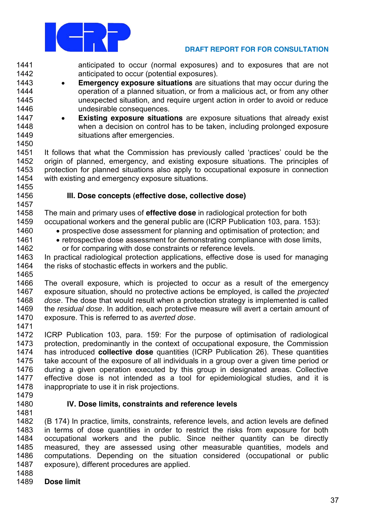

1441 anticipated to occur (normal exposures) and to exposures that are not 1442 anticipated to occur (potential exposures).

- 1443 **Emergency exposure situations** are situations that may occur during the  $\bullet$ 1444 operation of a planned situation, or from a malicious act, or from any other 1445 unexpected situation, and require urgent action in order to avoid or reduce 1446 undesirable consequences.
- 1447 **Existing exposure situations** are exposure situations that already exist  $\bullet$ when a decision on control has to be taken, including prolonged exposure 1448 1449 situations after emergencies.

1450

1451 It follows that what the Commission has previously called 'practices' could be the 1452 origin of planned, emergency, and existing exposure situations. The principles of 1453 protection for planned situations also apply to occupational exposure in connection 1454 with existing and emergency exposure situations.

1455 1456 1457

1461

1462

# III. Dose concepts (effective dose, collective dose)

1458 The main and primary uses of effective dose in radiological protection for both 1459 occupational workers and the general public are (ICRP Publication 103, para. 153): 1460

- prospective dose assessment for planning and optimisation of protection: and
- retrospective dose assessment for demonstrating compliance with dose limits, or for comparing with dose constraints or reference levels.

1463 In practical radiological protection applications, effective dose is used for managing 1464 the risks of stochastic effects in workers and the public.

1465

1466 The overall exposure, which is projected to occur as a result of the emergency 1467 exposure situation, should no protective actions be employed, is called the *projected* 1468 dose. The dose that would result when a protection strategy is implemented is called 1469 the residual dose. In addition, each protective measure will avert a certain amount of 1470 exposure. This is referred to as averted dose.

1471

1472 ICRP Publication 103, para, 159; For the purpose of optimisation of radiological 1473 protection, predominantly in the context of occupational exposure, the Commission 1474 has introduced collective dose quantities (ICRP Publication 26). These quantities 1475 take account of the exposure of all individuals in a group over a given time period or 1476 during a given operation executed by this group in designated areas. Collective 1477 effective dose is not intended as a tool for epidemiological studies, and it is 1478 inappropriate to use it in risk projections.

1479 1480 1481

# IV. Dose limits, constraints and reference levels

1482 (B 174) In practice, limits, constraints, reference levels, and action levels are defined 1483 in terms of dose quantities in order to restrict the risks from exposure for both occupational workers and the public. Since neither quantity can be directly 1484 measured, they are assessed using other measurable quantities, models and 1485 1486 computations. Depending on the situation considered (occupational or public 1487 exposure), different procedures are applied.

- 1488
- 1489 Dose limit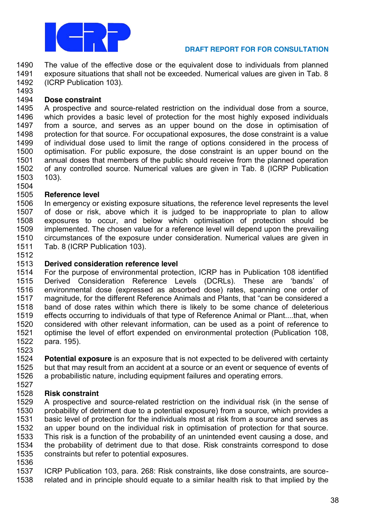

 The value of the effective dose or the equivalent dose to individuals from planned exposure situations that shall not be exceeded. Numerical values are given in Tab. 8 (ICRP Publication 103).

# **Dose constraint**

 A prospective and source-related restriction on the individual dose from a source, which provides a basic level of protection for the most highly exposed individuals from a source, and serves as an upper bound on the dose in optimisation of protection for that source. For occupational exposures, the dose constraint is a value of individual dose used to limit the range of options considered in the process of optimisation. For public exposure, the dose constraint is an upper bound on the annual doses that members of the public should receive from the planned operation of any controlled source. Numerical values are given in Tab. 8 (ICRP Publication 103).

 **Reference level** In emergency or existing exposure situations, the reference level represents the level of dose or risk, above which it is judged to be inappropriate to plan to allow exposures to occur, and below which optimisation of protection should be implemented. The chosen value for a reference level will depend upon the prevailing circumstances of the exposure under consideration. Numerical values are given in Tab. 8 (ICRP Publication 103).

# **Derived consideration reference level**

1514 For the purpose of environmental protection, ICRP has in Publication 108 identified<br>1515 Derived Consideration Reference Levels (DCRLs). These are 'bands' of Derived Consideration Reference Levels (DCRLs). These are 'bands' of environmental dose (expressed as absorbed dose) rates, spanning one order of 1517 magnitude, for the different Reference Animals and Plants, that "can be considered a band of dose rates within which there is likely to be some chance of deleterious effects occurring to individuals of that type of Reference Animal or Plant....that, when considered with other relevant information, can be used as a point of reference to optimise the level of effort expended on environmental protection (Publication 108, para. 195).

 **Potential exposure** is an exposure that is not expected to be delivered with certainty 1525 but that may result from an accident at a source or an event or sequence of events of 1526 a probabilistic nature, including equipment failures and operating errors. a probabilistic nature, including equipment failures and operating errors.

# **Risk constraint**

A prospective and source-related restriction on the individual risk (in the sense of probability of detriment due to a potential exposure) from a source, which provides a basic level of protection for the individuals most at risk from a source and serves as an upper bound on the individual risk in optimisation of protection for that source. This risk is a function of the probability of an unintended event causing a dose, and the probability of detriment due to that dose. Risk constraints correspond to dose constraints but refer to potential exposures.

 ICRP Publication 103, para. 268: Risk constraints, like dose constraints, are source-related and in principle should equate to a similar health risk to that implied by the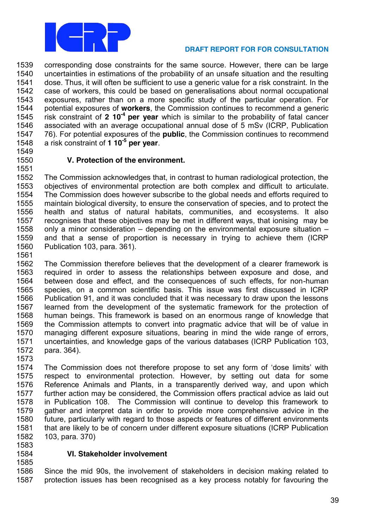

 corresponding dose constraints for the same source. However, there can be large uncertainties in estimations of the probability of an unsafe situation and the resulting dose. Thus, it will often be sufficient to use a generic value for a risk constraint. In the case of workers, this could be based on generalisations about normal occupational 1543 exposures, rather than on a more specific study of the particular operation. For<br>1544 botential exposures of workers, the Commission continues to recommend a generic potential exposures of **workers**, the Commission continues to recommend a generic risk constraint of **2 10-4 per year** which is similar to the probability of fatal cancer associated with an average occupational annual dose of 5 mSv (ICRP, Publication 76). For potential exposures of the **public**, the Commission continues to recommend a risk constraint of **1 10-5 per year**.

# **V. Protection of the environment.**

 The Commission acknowledges that, in contrast to human radiological protection, the objectives of environmental protection are both complex and difficult to articulate. The Commission does however subscribe to the global needs and efforts required to maintain biological diversity, to ensure the conservation of species, and to protect the health and status of natural habitats, communities, and ecosystems. It also recognises that these objectives may be met in different ways, that ionising may be 1558 only a minor consideration  $-$  depending on the environmental exposure situation  $-$  and that a sense of proportion is necessary in trying to achieve them (ICRP Publication 103, para. 361).

 The Commission therefore believes that the development of a clearer framework is required in order to assess the relationships between exposure and dose, and between dose and effect, and the consequences of such effects, for non-human species, on a common scientific basis. This issue was first discussed in ICRP Publication 91, and it was concluded that it was necessary to draw upon the lessons learned from the development of the systematic framework for the protection of human beings. This framework is based on an enormous range of knowledge that the Commission attempts to convert into pragmatic advice that will be of value in managing different exposure situations, bearing in mind the wide range of errors, uncertainties, and knowledge gaps of the various databases (ICRP Publication 103, para. 364).

1574 The Commission does not therefore propose to set any form of 'dose limits' with respect to environmental protection. However, by setting out data for some Reference Animals and Plants, in a transparently derived way, and upon which further action may be considered, the Commission offers practical advice as laid out in Publication 108. The Commission will continue to develop this framework to gather and interpret data in order to provide more comprehensive advice in the future, particularly with regard to those aspects or features of different environments that are likely to be of concern under different exposure situations (ICRP Publication 103, para. 370)

- 
- 

# **VI. Stakeholder involvement**

 Since the mid 90s, the involvement of stakeholders in decision making related to protection issues has been recognised as a key process notably for favouring the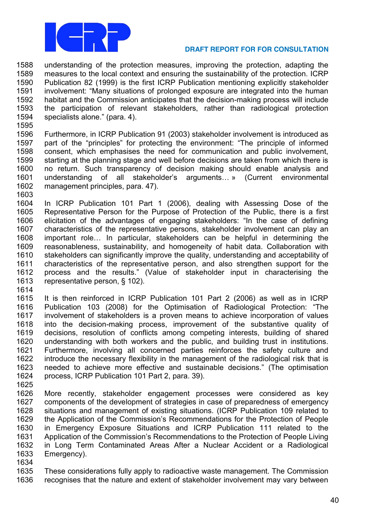

1588 understanding of the protection measures, improving the protection, adapting the 1589 measures to the local context and ensuring the sustainability of the protection. ICRP 1590 Publication 82 (1999) is the first ICRP Publication mentioning explicitly stakeholder 1591 involvement: "Many situations of prolonged exposure are integrated into the human 1592 habitat and the Commission anticipates that the decision-making process will include 1593 the participation of relevant stakeholders, rather than radiological protection 1594 specialists alone." (para. 4).

1595

1603

1596 Furthermore, in ICRP Publication 91 (2003) stakeholder involvement is introduced as 1597 part of the "principles" for protecting the environment: "The principle of informed 1598 consent, which emphasises the need for communication and public involvement, 1599 starting at the planning stage and well before decisions are taken from which there is 1600 no return. Such transparency of decision making should enable analysis and 1601 understanding of all stakeholder's arguments... » (Current environmental 1602 management principles, para. 47).

1604 In ICRP Publication 101 Part 1 (2006), dealing with Assessing Dose of the 1605 Representative Person for the Purpose of Protection of the Public, there is a first 1606 elicitation of the advantages of engaging stakeholders: "In the case of defining 1607 characteristics of the representative persons, stakeholder involvement can play an 1608 important role... In particular, stakeholders can be helpful in determining the 1609 reasonableness, sustainability, and homogeneity of habit data. Collaboration with 1610 stakeholders can significantly improve the quality, understanding and acceptability of 1611 characteristics of the representative person, and also strengthen support for the 1612 process and the results." (Value of stakeholder input in characterising the 1613 representative person, § 102).

1614

1615 It is then reinforced in ICRP Publication 101 Part 2 (2006) as well as in ICRP 1616 Publication 103 (2008) for the Optimisation of Radiological Protection: "The 1617 involvement of stakeholders is a proven means to achieve incorporation of values 1618 into the decision-making process, improvement of the substantive quality of 1619 decisions, resolution of conflicts among competing interests, building of shared 1620 understanding with both workers and the public, and building trust in institutions. 1621 Furthermore, involving all concerned parties reinforces the safety culture and 1622 introduce the necessary flexibility in the management of the radiological risk that is 1623 needed to achieve more effective and sustainable decisions." (The optimisation 1624 process, ICRP Publication 101 Part 2, para. 39). 1625

- More recently, stakeholder engagement processes were considered as key 1626 1627 components of the development of strategies in case of preparedness of emergency 1628 situations and management of existing situations. (ICRP Publication 109 related to 1629 the Application of the Commission's Recommendations for the Protection of People 1630 in Emergency Exposure Situations and ICRP Publication 111 related to the Application of the Commission's Recommendations to the Protection of People Living 1631 1632 in Long Term Contaminated Areas After a Nuclear Accident or a Radiological 1633 Emergency).
- 1634

1635 These considerations fully apply to radioactive waste management. The Commission 1636 recognises that the nature and extent of stakeholder involvement may vary between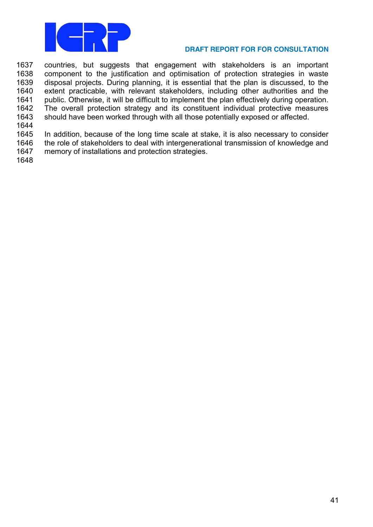

 countries, but suggests that engagement with stakeholders is an important 1638 component to the justification and optimisation of protection strategies in waste disposal projects. During planning, it is essential that the plan is discussed, to the extent practicable, with relevant stakeholders, including other authorities and the 1641 public. Otherwise, it will be difficult to implement the plan effectively during operation.<br>1642 The overall protection strategy and its constituent individual protective measures The overall protection strategy and its constituent individual protective measures should have been worked through with all those potentially exposed or affected.

 In addition, because of the long time scale at stake, it is also necessary to consider the role of stakeholders to deal with intergenerational transmission of knowledge and memory of installations and protection strategies.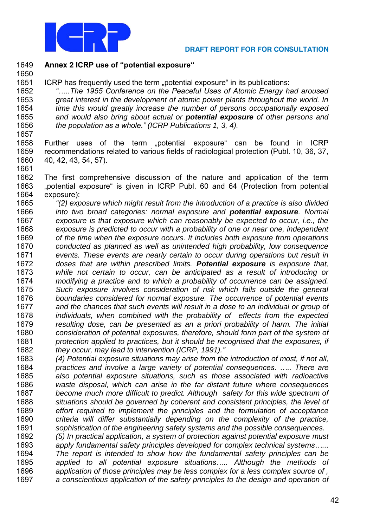

**Annex 2 ICRP use of "potential exposure"**

1651 ICRP has frequently used the term "potential exposure" in its publications:

 *"…..The 1955 Conference on the Peaceful Uses of Atomic Energy had aroused* 1653 great interest in the development of atomic power plants throughout the world. In<br>1654 time this would greatly increase the number of persons occupationally exposed time this would greatly increase the number of persons occupationally exposed and would also bring about actual or **potential exposure** of other persons and *the population as a whole."* (ICRP Publications 1, 3, 4).

1658 Further uses of the term "potential exposure" can be found in ICRP recommendations related to various fields of radiological protection (Publ. 10, 36, 37, 40, 42, 43, 54, 57). 

 The first comprehensive discussion of the nature and application of the term 1663 "potential exposure" is given in ICRP Publ. 60 and 64 (Protection from potential exposure):

- *"(2)* exposure which might result from the introduction of a practice is also divided into two broad categories: normal exposure and **potential exposure**. Normal exposure is that exposure which can reasonably be expected to occur, i.e., the exposure is predicted to occur with a probability of one or near one, independent 1669 of the time when the exposure occurs. It includes both exposure from operations conducted as planned as well as unintended high probability, low consequence events. These events are nearly certain to occur during operations but result in doses that are within prescribed limits. **Potential exposure** is exposure that, 1673 while not certain to occur, can be anticipated as a result of introducing or<br>1674 modifying a practice and to which a probability of occurrence can be assigned. modifying a practice and to which a probability of occurrence can be assigned. Such exposure involves consideration of risk which falls outside the general boundaries considered for normal exposure. The occurrence of potential events 1677 and the chances that such events will result in a dose to an individual or group of individuals, when combined with the probability of effects from the expected resulting dose, can be presented as an a priori probability of harm. The initial consideration of potential exposures, therefore, should form part of the system of 1681 protection applied to practices, but it should be recognised that the exposures, if they occur, may lead to intervention (ICRP, 1991).*"*
- (4) Potential exposure situations may arise from the introduction of most, if not all, practices and involve a large variety of potential *consequences. ….. There are* also potential exposure situations, such as those associated with radioactive waste disposal, which can arise in the far distant future where consequences become much more difficult to predict. Although safety for this wide spectrum of 1688 situations should be governed by coherent and consistent principles, the level of effort required to implement the principles and the formulation of acceptance criteria will differ substantially depending on the complexity of the practice, sophistication of the engineering safety systems and the possible consequences.
- (5) In practical application, a system of protection against potential exposure must apply fundamental safety principles developed for complex technical syst*ems…...*  The report is intended to show how the fundamental safety principles can be *applied to all potential exposure situations….. Although the* methods of application of those principles may be less complex for a less complex source of, a conscientious application of the safety principles to the design and operation of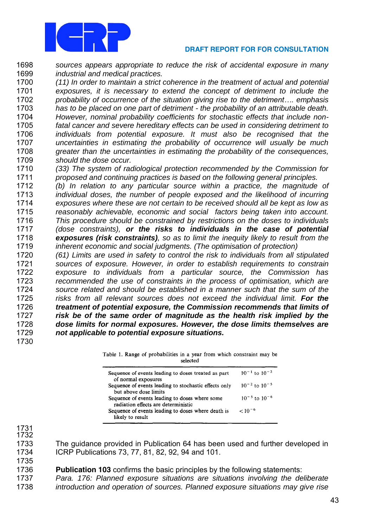

 sources appears appropriate to reduce the risk of accidental exposure in many *industrial and medical practices.* 

 (11) In order to maintain a strict coherence in the treatment of actual and potential exposures, it is necessary to extend the concept of detriment to include the probability of occurrence of the situation giving rise to the *detriment….* emphasis has to be placed on one part of detriment - the probability of an attributable death. However, nominal probability coefficients for stochastic effects that include non- fatal cancer and severe hereditary effects can be used in considering detriment to individuals from potential exposure. It must also be recognised that the uncertainties in estimating the probability of occurrence will usually be much 1708 greater than the uncertainties in estimating the probability of the consequences, 1709 should the dose occur.

 (33) The system of radiological protection recommended by the Commission for proposed and continuing practices is based on the following general principles.

 (b) In relation to any particular source within a practice, the magnitude of 1713 individual doses, the number of people exposed and the likelihood of incurring exposures where these are not certain to be received should all be kept as low as reasonably achievable, economic and social factors being taken into account. This procedure should be constrained by restrictions on the doses to individuals (dose constraints), **or the risks to individuals in the case of potential exposures (risk constraints)**, so as to limit the inequity likely to result from the inherent economic and social judgments. (The optimisation of protection)

 (61) Limits are used in safety to control the risk to individuals from all stipulated sources of exposure. However, in order to establish requirements to constrain 1722 exposure to individuals from a particular source, the Commission has<br>1723 – recommended the use of constraints in the process of optimisation, which are recommended the use of constraints in the process of optimisation, which are source related and should be established in a manner such that the sum of the risks from all relevant sources does not exceed the individual limit. **For the treatment of potential exposure, the Commission recommends that limits of risk be of the same order of magnitude as the health risk implied by the dose limits for normal exposures. However, the dose limits themselves are** not applicable to potential exposure situations. 

|  |  | Table 1. Range of probabilities in a year from which constraint may be |  |          |  |  |  |
|--|--|------------------------------------------------------------------------|--|----------|--|--|--|
|  |  |                                                                        |  | selected |  |  |  |

| Sequence of events leading to doses treated as part<br>of normal exposures            | $10^{-1}$ to $10^{-2}$ |
|---------------------------------------------------------------------------------------|------------------------|
| Sequence of events leading to stochastic effects only<br>but above dose limits        | $10^{-2}$ to $10^{-5}$ |
| Sequence of events leading to doses where some<br>radiation effects are deterministic | $10^{-5}$ to $10^{-6}$ |
| Sequence of events leading to doses where death is<br>likely to result                | $< 10^{-6}$            |
|                                                                                       |                        |

 

 The guidance provided in Publication 64 has been used and further developed in ICRP Publications 73, 77, 81, 82, 92, 94 and 101.

 **Publication 103** confirms the basic principles by the following statements: Para. 176: Planned exposure situations are situations involving the deliberate 1738 introduction and operation of sources. Planned exposure situations may give rise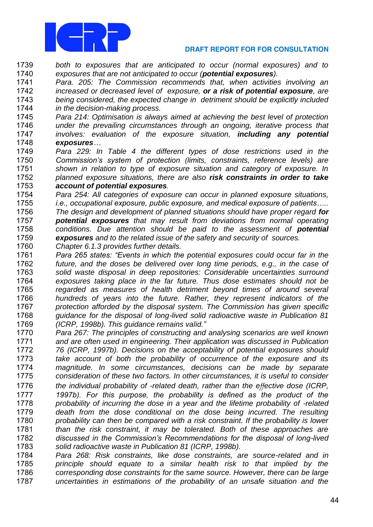

- both to exposures that are anticipated to occur (normal exposures) and to exposures that are not anticipated to occur (**potential exposures**).
- Para. 205: The Commission recommends that, when activities involving an increased or decreased level of exposure, **or a risk of potential exposure**, are being considered, the expected change in detriment should be explicitly included *in the decision-making process.*
- Para 214: Optimisation is always aimed at achieving the best level of protection under the prevailing circumstances through an ongoing, iterative process that involves: evaluation of the exposure situation, **including any potential exposures***…*
- Para 229: In Table 4 the different types of dose restrictions used in the *Commission's system of protection (lim*its, constraints, reference levels) are 1751 shown in relation to type of exposure situation and category of exposure. In planned exposure situations, there are also **risk constraints in order to take account of potential exposures**.
- Para 254: All categories of exposure can occur in planned exposure situations, *i.e., occupational exposure, public exposure, and medical exposure of patients…..* The design and development of planned situations should have proper regard **for potential exposures** that may result from deviations from normal operating conditions. Due attention should be paid to the assessment of **potential exposures** and to the related issue of the safety and security of sources.
- Chapter 6.1.3 provides further details.
- *Para 265 states: "Events in which the po*tential exposures could occur far in the future, and the doses be delivered over long time periods, e.g., in the case of solid waste disposal in deep repositories: Considerable uncertainties surround exposures taking place in the far future. Thus dose estimates should not be regarded as measures of health detriment beyond times of around several hundreds of years into the future. Rather, they represent indicators of the protection afforded by the disposal system. The Commiss*ion has given specific*  1768 guidance for the disposal of long-lived solid radioactive waste in Publication 81 (ICRP, 1998b). This guidance remains val*id."*
- Para 267: The principles of constructing and analysing scenarios are well known and are often used in engineering. Their application was discussed in Publication 76 (ICRP, 1997b). Decisions on the acceptability of potential exposures should 1773 take account of both the probability of occurrence of the exposure and its magnitude. In some circumstances, decisions can be made by separate consideration of these two factors. In other circumstances, it is useful to consider 1776 the individual probability of -related death, rather than the effective dose (ICRP, *1997b). For this purpose, the probability is defined as the product of the* 1778 probability of incurring the dose in a year and the lifetime probability of -related death from the dose conditional on the dose being incurred. The resulting 1780 probability can then be compared with a risk constraint. If the probability is lower 1781 than the risk constraint, it may be tolerated. Both of these approaches are *discussed in the Commission's Recommendations for the disposal of long*-lived solid radioactive waste in Publication 81 (ICRP, 1998b).
- Para 268: Risk constraints, like dose constraints, are source-related and in principle should equate to a similar health risk to that implied by the 1786 corresponding dose constraints for the same source. However, there can be large uncertainties in estimations of the probability of an unsafe situation and the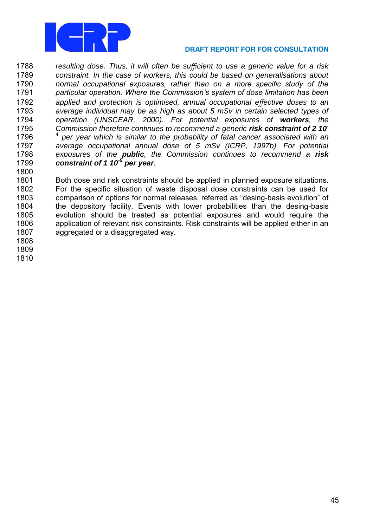

1788 resulting dose. Thus, it will often be sufficient to use a generic value for a risk 1789 constraint. In the case of workers, this could be based on generalisations about normal occupational exposures, rather than on a more specific study of the 1790 1791 particular operation. Where the Commission's system of dose limitation has been applied and protection is optimised, annual occupational effective doses to an 1792 1793 average individual may be as high as about 5 mSv in certain selected types of 1794 operation (UNSCEAR, 2000). For potential exposures of workers, the 1795 Commission therefore continues to recommend a generic risk constraint of 2 10 1796 per year which is similar to the probability of fatal cancer associated with an average occupational annual dose of 5 mSv (ICRP, 1997b). For potential 1797 1798 exposures of the public, the Commission continues to recommend a risk 1799 constraint of 1 10<sup>-5</sup> per year.

1801 Both dose and risk constraints should be applied in planned exposure situations. 1802 For the specific situation of waste disposal dose constraints can be used for 1803 comparison of options for normal releases, referred as "desing-basis evolution" of 1804 the depository facility. Events with lower probabilities than the desing-basis evolution should be treated as potential exposures and would require the 1805 1806 application of relevant risk constraints. Risk constraints will be applied either in an 1807 agaregated or a disagaregated way.

1808

1800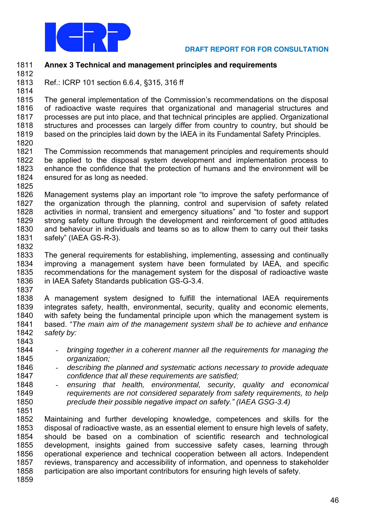

- **Annex 3 Technical and management principles and requirements**
- 

 Ref.: ICRP 101 section 6.6.4, §315, 316 ff 

1815 The general implementation of the Commission's recommendations on the disposal<br>1816 of radioactive waste requires that organizational and managerial structures and of radioactive waste requires that organizational and managerial structures and processes are put into place, and that technical principles are applied. Organizational structures and processes can largely differ from country to country, but should be based on the principles laid down by the IAEA in its Fundamental Safety Principles.

 The Commission recommends that management principles and requirements should 1822 be applied to the disposal system development and implementation process to 1823 enhance the confidence that the protection of humans and the environment will be enhance the confidence that the protection of humans and the environment will be ensured for as long as needed. 

- 1826 Management systems play an important role "to improve the safety performance of the organization through the planning, control and supervision of safety related 1828 activities in normal, transient and emergency situations" and "to foster and support strong safety culture through the development and reinforcement of good attitudes and behaviour in individuals and teams so as to allow them to carry out their tasks 1831 safely" (IAEA GS-R-3).
- 

 The general requirements for establishing, implementing, assessing and continually improving a management system have been formulated by IAEA, and specific 1835 recommendations for the management system for the disposal of radioactive waste<br>1836 in IAEA Safety Standards publication GS-G-3.4. in IAEA Safety Standards publication GS-G-3.4. 

 A management system designed to fulfill the international IAEA requirements integrates safety, health, environmental, security, quality and economic elements, with safety being the fundamental principle upon which the management system is 1841 based. "The main aim of the management system shall be to achieve and enhance 1842 safety by:

- 1844 bringing together in a coherent manner all the requirements for managing the 1845 organization;<br>1846 - describing the
- describing the planned and systematic actions necessary to provide adequate confidence that all these requirements are satisfied;
- ensuring that health, environmental, security, quality and economical 1849 requirements are not considered separately from safety requirements, to help pre*clude their possible negative impact on safety."* (IAEA GSG-3.4)
- 

 Maintaining and further developing knowledge, competences and skills for the disposal of radioactive waste, as an essential element to ensure high levels of safety, should be based on a combination of scientific research and technological development, insights gained from successive safety cases, learning through operational experience and technical cooperation between all actors. Independent reviews, transparency and accessibility of information, and openness to stakeholder participation are also important contributors for ensuring high levels of safety.